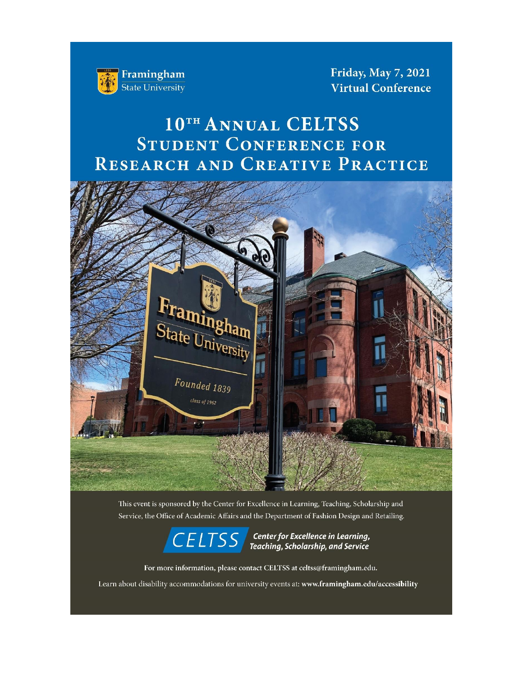

Friday, May 7, 2021 **Virtual Conference** 

# 10TH ANNUAL CELTSS STUDENT CONFERENCE FOR RESEARCH AND CREATIVE PRACTICE



This event is sponsored by the Center for Excellence in Learning, Teaching, Scholarship and Service, the Office of Academic Affairs and the Department of Fashion Design and Retailing.



 $\overline{CELTSS}$  Center for Excellence in Learning,<br>Teaching, Scholarship, and Service

For more information, please contact CELTSS at celtss@framingham.edu.

Learn about disability accommodations for university events at: www.framingham.edu/accessibility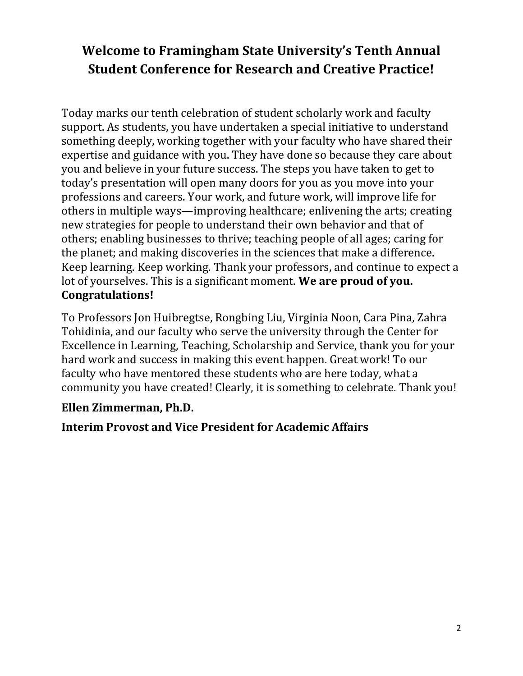# **Welcome to Framingham State University's Tenth Annual Student Conference for Research and Creative Practice!**

Today marks our tenth celebration of student scholarly work and faculty support. As students, you have undertaken a special initiative to understand something deeply, working together with your faculty who have shared their expertise and guidance with you. They have done so because they care about you and believe in your future success. The steps you have taken to get to today's presentation will open many doors for you as you move into your professions and careers. Your work, and future work, will improve life for others in multiple ways—improving healthcare; enlivening the arts; creating new strategies for people to understand their own behavior and that of others; enabling businesses to thrive; teaching people of all ages; caring for the planet; and making discoveries in the sciences that make a difference. Keep learning. Keep working. Thank your professors, and continue to expect a lot of yourselves. This is a significant moment. **We are proud of you. Congratulations!** 

To Professors Jon Huibregtse, Rongbing Liu, Virginia Noon, Cara Pina, Zahra Tohidinia, and our faculty who serve the university through the Center for Excellence in Learning, Teaching, Scholarship and Service, thank you for your hard work and success in making this event happen. Great work! To our faculty who have mentored these students who are here today, what a community you have created! Clearly, it is something to celebrate. Thank you!

# **Ellen Zimmerman, Ph.D.**

# **Interim Provost and Vice President for Academic Affairs**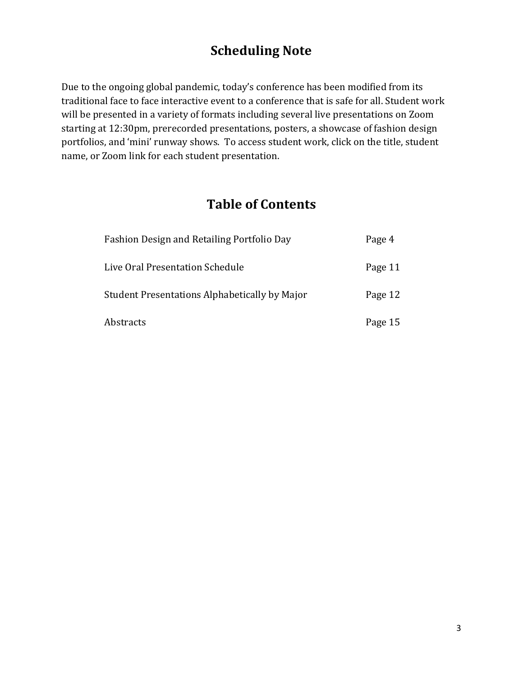# **Scheduling Note**

Due to the ongoing global pandemic, today's conference has been modified from its traditional face to face interactive event to a conference that is safe for all. Student work will be presented in a variety of formats including several live presentations on Zoom starting at 12:30pm, prerecorded presentations, posters, a showcase of fashion design portfolios, and 'mini' runway shows. To access student work, click on the title, student name, or Zoom link for each student presentation.

# **Table of Contents**

| Fashion Design and Retailing Portfolio Day    | Page 4  |
|-----------------------------------------------|---------|
| Live Oral Presentation Schedule               | Page 11 |
| Student Presentations Alphabetically by Major | Page 12 |
| Abstracts                                     | Page 15 |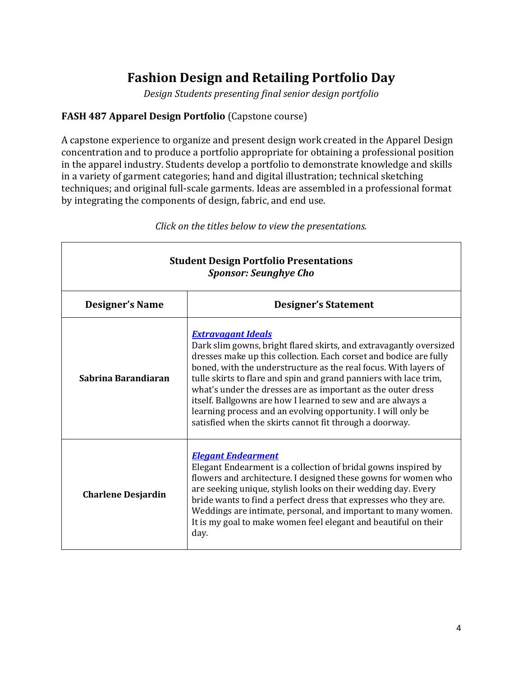# **Fashion Design and Retailing Portfolio Day**

*Design Students presenting final senior design portfolio*

# **FASH 487 Apparel Design Portfolio** (Capstone course)

Г

A capstone experience to organize and present design work created in the Apparel Design concentration and to produce a portfolio appropriate for obtaining a professional position in the apparel industry. Students develop a portfolio to demonstrate knowledge and skills in a variety of garment categories; hand and digital illustration; technical sketching techniques; and original full-scale garments. Ideas are assembled in a professional format by integrating the components of design, fabric, and end use.

| <b>Student Design Portfolio Presentations</b><br><b>Sponsor: Seunghye Cho</b> |                                                                                                                                                                                                                                                                                                                                                                                                                                                                                                                                                                         |  |
|-------------------------------------------------------------------------------|-------------------------------------------------------------------------------------------------------------------------------------------------------------------------------------------------------------------------------------------------------------------------------------------------------------------------------------------------------------------------------------------------------------------------------------------------------------------------------------------------------------------------------------------------------------------------|--|
| <b>Designer's Name</b>                                                        | <b>Designer's Statement</b>                                                                                                                                                                                                                                                                                                                                                                                                                                                                                                                                             |  |
| Sabrina Barandiaran                                                           | <b>Extravagant Ideals</b><br>Dark slim gowns, bright flared skirts, and extravagantly oversized<br>dresses make up this collection. Each corset and bodice are fully<br>boned, with the understructure as the real focus. With layers of<br>tulle skirts to flare and spin and grand panniers with lace trim,<br>what's under the dresses are as important as the outer dress<br>itself. Ballgowns are how I learned to sew and are always a<br>learning process and an evolving opportunity. I will only be<br>satisfied when the skirts cannot fit through a doorway. |  |
| <b>Charlene Desjardin</b>                                                     | <b>Elegant Endearment</b><br>Elegant Endearment is a collection of bridal gowns inspired by<br>flowers and architecture. I designed these gowns for women who<br>are seeking unique, stylish looks on their wedding day. Every<br>bride wants to find a perfect dress that expresses who they are.<br>Weddings are intimate, personal, and important to many women.<br>It is my goal to make women feel elegant and beautiful on their<br>day.                                                                                                                          |  |

*Click on the titles below to view the presentations.*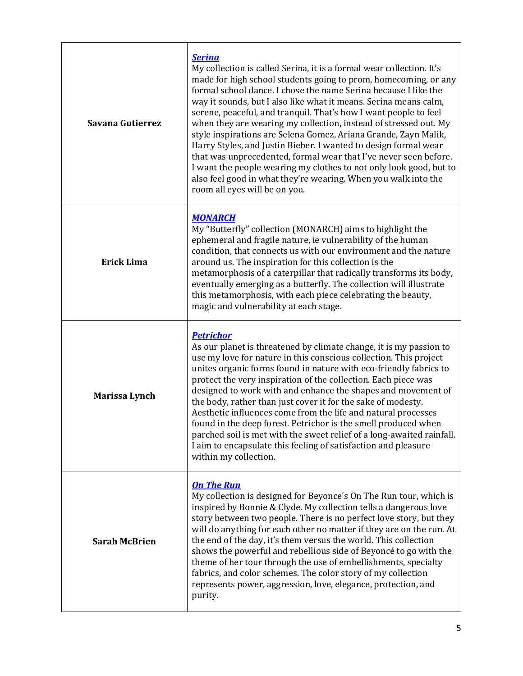| Savana Gutierrez     | <b>Serina</b><br>My collection is called Serina, it is a formal wear collection. It's<br>made for high school students going to prom, homecoming, or any<br>formal school dance. I chose the name Serina because I like the<br>way it sounds, but I also like what it means. Serina means calm,<br>serene, peaceful, and tranquil. That's how I want people to feel<br>when they are wearing my collection, instead of stressed out. My<br>style inspirations are Selena Gomez, Ariana Grande, Zayn Malik,<br>Harry Styles, and Justin Bieber. I wanted to design formal wear<br>that was unprecedented, formal wear that I've never seen before.<br>I want the people wearing my clothes to not only look good, but to<br>also feel good in what they're wearing. When you walk into the<br>room all eyes will be on you. |
|----------------------|----------------------------------------------------------------------------------------------------------------------------------------------------------------------------------------------------------------------------------------------------------------------------------------------------------------------------------------------------------------------------------------------------------------------------------------------------------------------------------------------------------------------------------------------------------------------------------------------------------------------------------------------------------------------------------------------------------------------------------------------------------------------------------------------------------------------------|
| <b>Erick Lima</b>    | <b>MONARCH</b><br>My "Butterfly" collection (MONARCH) aims to highlight the<br>ephemeral and fragile nature, ie vulnerability of the human<br>condition, that connects us with our environment and the nature<br>around us. The inspiration for this collection is the<br>metamorphosis of a caterpillar that radically transforms its body,<br>eventually emerging as a butterfly. The collection will illustrate<br>this metamorphosis, with each piece celebrating the beauty,<br>magic and vulnerability at each stage.                                                                                                                                                                                                                                                                                                |
| Marissa Lynch        | <b>Petrichor</b><br>As our planet is threatened by climate change, it is my passion to<br>use my love for nature in this conscious collection. This project<br>unites organic forms found in nature with eco-friendly fabrics to<br>protect the very inspiration of the collection. Each piece was<br>designed to work with and enhance the shapes and movement of<br>the body, rather than just cover it for the sake of modesty.<br>Aesthetic influences come from the life and natural processes<br>found in the deep forest. Petrichor is the smell produced when<br>parched soil is met with the sweet relief of a long-awaited rainfall.<br>I aim to encapsulate this feeling of satisfaction and pleasure<br>within my collection.                                                                                  |
| <b>Sarah McBrien</b> | <b>On The Run</b><br>My collection is designed for Beyonce's On The Run tour, which is<br>inspired by Bonnie & Clyde. My collection tells a dangerous love<br>story between two people. There is no perfect love story, but they<br>will do anything for each other no matter if they are on the run. At<br>the end of the day, it's them versus the world. This collection<br>shows the powerful and rebellious side of Beyoncé to go with the<br>theme of her tour through the use of embellishments, specialty<br>fabrics, and color schemes. The color story of my collection<br>represents power, aggression, love, elegance, protection, and<br>purity.                                                                                                                                                              |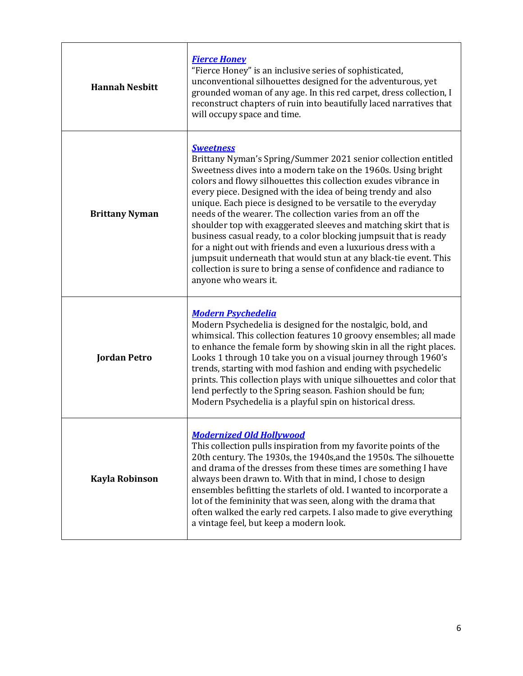| <b>Hannah Nesbitt</b> | <b>Fierce Honey</b><br>"Fierce Honey" is an inclusive series of sophisticated,<br>unconventional silhouettes designed for the adventurous, yet<br>grounded woman of any age. In this red carpet, dress collection, I<br>reconstruct chapters of ruin into beautifully laced narratives that<br>will occupy space and time.                                                                                                                                                                                                                                                                                                                                                                                                                                                                         |
|-----------------------|----------------------------------------------------------------------------------------------------------------------------------------------------------------------------------------------------------------------------------------------------------------------------------------------------------------------------------------------------------------------------------------------------------------------------------------------------------------------------------------------------------------------------------------------------------------------------------------------------------------------------------------------------------------------------------------------------------------------------------------------------------------------------------------------------|
| <b>Brittany Nyman</b> | <b>Sweetness</b><br>Brittany Nyman's Spring/Summer 2021 senior collection entitled<br>Sweetness dives into a modern take on the 1960s. Using bright<br>colors and flowy silhouettes this collection exudes vibrance in<br>every piece. Designed with the idea of being trendy and also<br>unique. Each piece is designed to be versatile to the everyday<br>needs of the wearer. The collection varies from an off the<br>shoulder top with exaggerated sleeves and matching skirt that is<br>business casual ready, to a color blocking jumpsuit that is ready<br>for a night out with friends and even a luxurious dress with a<br>jumpsuit underneath that would stun at any black-tie event. This<br>collection is sure to bring a sense of confidence and radiance to<br>anyone who wears it. |
| <b>Jordan Petro</b>   | <b>Modern Psychedelia</b><br>Modern Psychedelia is designed for the nostalgic, bold, and<br>whimsical. This collection features 10 groovy ensembles; all made<br>to enhance the female form by showing skin in all the right places.<br>Looks 1 through 10 take you on a visual journey through 1960's<br>trends, starting with mod fashion and ending with psychedelic<br>prints. This collection plays with unique silhouettes and color that<br>lend perfectly to the Spring season. Fashion should be fun;<br>Modern Psychedelia is a playful spin on historical dress.                                                                                                                                                                                                                        |
| <b>Kayla Robinson</b> | <b>Modernized Old Hollywood</b><br>This collection pulls inspiration from my favorite points of the<br>20th century. The 1930s, the 1940s, and the 1950s. The silhouette<br>and drama of the dresses from these times are something I have<br>always been drawn to. With that in mind, I chose to design<br>ensembles befitting the starlets of old. I wanted to incorporate a<br>lot of the femininity that was seen, along with the drama that<br>often walked the early red carpets. I also made to give everything<br>a vintage feel, but keep a modern look.                                                                                                                                                                                                                                  |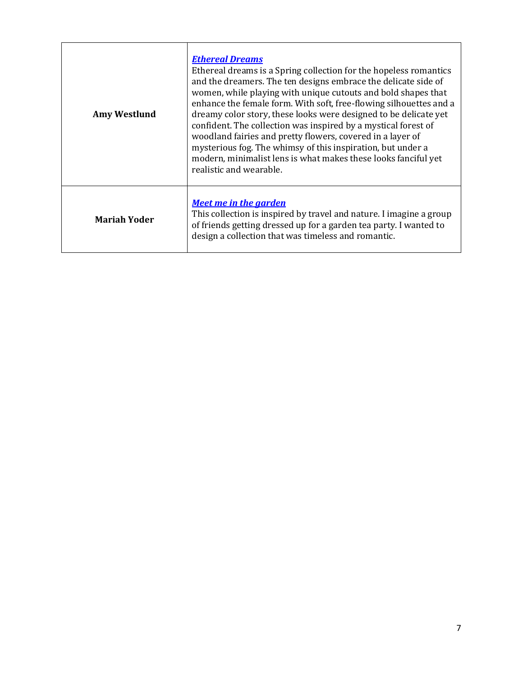| <b>Amy Westlund</b> | <b>Ethereal Dreams</b><br>Ethereal dreams is a Spring collection for the hopeless romantics<br>and the dreamers. The ten designs embrace the delicate side of<br>women, while playing with unique cutouts and bold shapes that<br>enhance the female form. With soft, free-flowing silhouettes and a<br>dreamy color story, these looks were designed to be delicate yet<br>confident. The collection was inspired by a mystical forest of<br>woodland fairies and pretty flowers, covered in a layer of<br>mysterious fog. The whimsy of this inspiration, but under a<br>modern, minimalist lens is what makes these looks fanciful yet<br>realistic and wearable. |  |
|---------------------|----------------------------------------------------------------------------------------------------------------------------------------------------------------------------------------------------------------------------------------------------------------------------------------------------------------------------------------------------------------------------------------------------------------------------------------------------------------------------------------------------------------------------------------------------------------------------------------------------------------------------------------------------------------------|--|
| <b>Mariah Yoder</b> | <b>Meet me in the garden</b><br>This collection is inspired by travel and nature. I imagine a group<br>of friends getting dressed up for a garden tea party. I wanted to<br>design a collection that was timeless and romantic.                                                                                                                                                                                                                                                                                                                                                                                                                                      |  |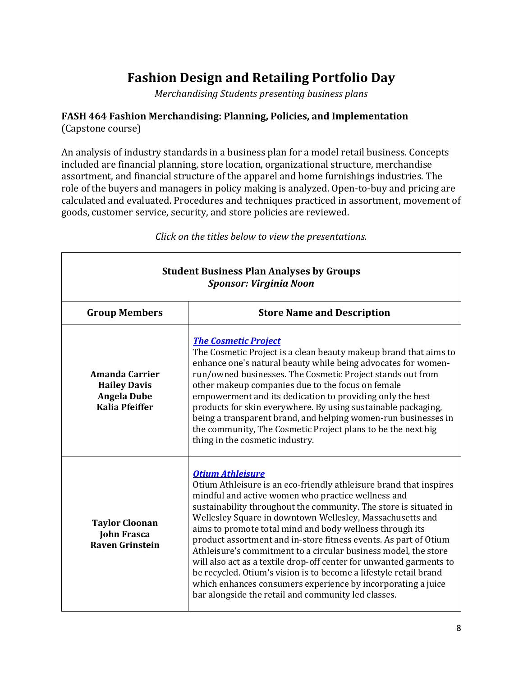# **Fashion Design and Retailing Portfolio Day**

*Merchandising Students presenting business plans*

# **FASH 464 Fashion Merchandising: Planning, Policies, and Implementation**

(Capstone course)

An analysis of industry standards in a business plan for a model retail business. Concepts included are financial planning, store location, organizational structure, merchandise assortment, and financial structure of the apparel and home furnishings industries. The role of the buyers and managers in policy making is analyzed. Open-to-buy and pricing are calculated and evaluated. Procedures and techniques practiced in assortment, movement of goods, customer service, security, and store policies are reviewed.

| <b>Student Business Plan Analyses by Groups</b><br><b>Sponsor: Virginia Noon</b>            |                                                                                                                                                                                                                                                                                                                                                                                                                                                                                                                                                                                                                                                                                                                                                             |  |
|---------------------------------------------------------------------------------------------|-------------------------------------------------------------------------------------------------------------------------------------------------------------------------------------------------------------------------------------------------------------------------------------------------------------------------------------------------------------------------------------------------------------------------------------------------------------------------------------------------------------------------------------------------------------------------------------------------------------------------------------------------------------------------------------------------------------------------------------------------------------|--|
| <b>Group Members</b>                                                                        | <b>Store Name and Description</b>                                                                                                                                                                                                                                                                                                                                                                                                                                                                                                                                                                                                                                                                                                                           |  |
| <b>Amanda Carrier</b><br><b>Hailey Davis</b><br><b>Angela Dube</b><br><b>Kalia Pfeiffer</b> | <b>The Cosmetic Project</b><br>The Cosmetic Project is a clean beauty makeup brand that aims to<br>enhance one's natural beauty while being advocates for women-<br>run/owned businesses. The Cosmetic Project stands out from<br>other makeup companies due to the focus on female<br>empowerment and its dedication to providing only the best<br>products for skin everywhere. By using sustainable packaging,<br>being a transparent brand, and helping women-run businesses in<br>the community, The Cosmetic Project plans to be the next big<br>thing in the cosmetic industry.                                                                                                                                                                      |  |
| <b>Taylor Cloonan</b><br><b>John Frasca</b><br><b>Raven Grinstein</b>                       | <b>Otium Athleisure</b><br>Otium Athleisure is an eco-friendly athleisure brand that inspires<br>mindful and active women who practice wellness and<br>sustainability throughout the community. The store is situated in<br>Wellesley Square in downtown Wellesley, Massachusetts and<br>aims to promote total mind and body wellness through its<br>product assortment and in-store fitness events. As part of Otium<br>Athleisure's commitment to a circular business model, the store<br>will also act as a textile drop-off center for unwanted garments to<br>be recycled. Otium's vision is to become a lifestyle retail brand<br>which enhances consumers experience by incorporating a juice<br>bar alongside the retail and community led classes. |  |

*Click on the titles below to view the presentations.*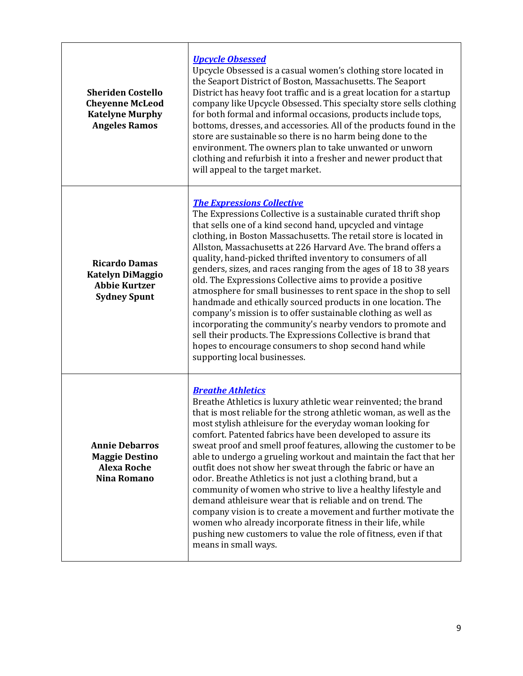| <b>Sheriden Costello</b><br><b>Cheyenne McLeod</b><br><b>Katelyne Murphy</b><br><b>Angeles Ramos</b> | <b>Upcycle Obsessed</b><br>Upcycle Obsessed is a casual women's clothing store located in<br>the Seaport District of Boston, Massachusetts. The Seaport<br>District has heavy foot traffic and is a great location for a startup<br>company like Upcycle Obsessed. This specialty store sells clothing<br>for both formal and informal occasions, products include tops,<br>bottoms, dresses, and accessories. All of the products found in the<br>store are sustainable so there is no harm being done to the<br>environment. The owners plan to take unwanted or unworn<br>clothing and refurbish it into a fresher and newer product that<br>will appeal to the target market.                                                                                                                                                                                                                                                          |
|------------------------------------------------------------------------------------------------------|--------------------------------------------------------------------------------------------------------------------------------------------------------------------------------------------------------------------------------------------------------------------------------------------------------------------------------------------------------------------------------------------------------------------------------------------------------------------------------------------------------------------------------------------------------------------------------------------------------------------------------------------------------------------------------------------------------------------------------------------------------------------------------------------------------------------------------------------------------------------------------------------------------------------------------------------|
| <b>Ricardo Damas</b><br><b>Katelyn DiMaggio</b><br><b>Abbie Kurtzer</b><br><b>Sydney Spunt</b>       | <b>The Expressions Collective</b><br>The Expressions Collective is a sustainable curated thrift shop<br>that sells one of a kind second hand, upcycled and vintage<br>clothing, in Boston Massachusetts. The retail store is located in<br>Allston, Massachusetts at 226 Harvard Ave. The brand offers a<br>quality, hand-picked thrifted inventory to consumers of all<br>genders, sizes, and races ranging from the ages of 18 to 38 years<br>old. The Expressions Collective aims to provide a positive<br>atmosphere for small businesses to rent space in the shop to sell<br>handmade and ethically sourced products in one location. The<br>company's mission is to offer sustainable clothing as well as<br>incorporating the community's nearby vendors to promote and<br>sell their products. The Expressions Collective is brand that<br>hopes to encourage consumers to shop second hand while<br>supporting local businesses. |
| <b>Annie Debarros</b><br><b>Maggie Destino</b><br><b>Alexa Roche</b><br>Nina Romano                  | <b>Breathe Athletics</b><br>Breathe Athletics is luxury athletic wear reinvented; the brand<br>that is most reliable for the strong athletic woman, as well as the<br>most stylish athleisure for the everyday woman looking for<br>comfort. Patented fabrics have been developed to assure its<br>sweat proof and smell proof features, allowing the customer to be<br>able to undergo a grueling workout and maintain the fact that her<br>outfit does not show her sweat through the fabric or have an<br>odor. Breathe Athletics is not just a clothing brand, but a<br>community of women who strive to live a healthy lifestyle and<br>demand athleisure wear that is reliable and on trend. The<br>company vision is to create a movement and further motivate the<br>women who already incorporate fitness in their life, while<br>pushing new customers to value the role of fitness, even if that<br>means in small ways.        |

r

٦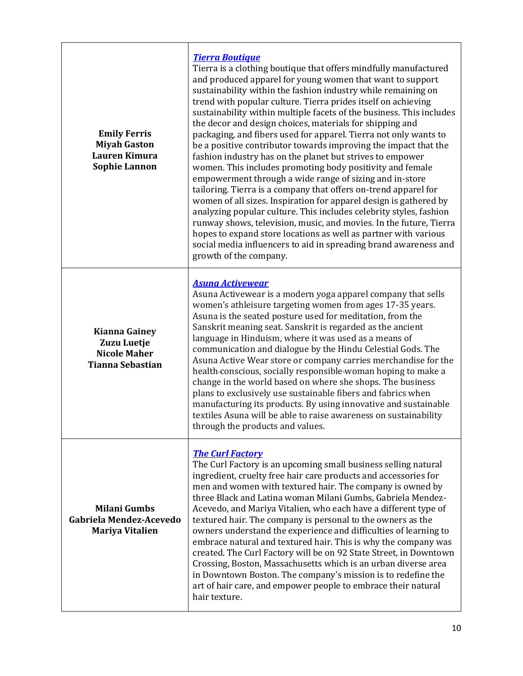| <b>Emily Ferris</b><br><b>Miyah Gaston</b><br>Lauren Kimura<br><b>Sophie Lannon</b>   | <b>Tierra Boutique</b><br>Tierra is a clothing boutique that offers mindfully manufactured<br>and produced apparel for young women that want to support<br>sustainability within the fashion industry while remaining on<br>trend with popular culture. Tierra prides itself on achieving<br>sustainability within multiple facets of the business. This includes<br>the decor and design choices, materials for shipping and<br>packaging, and fibers used for apparel. Tierra not only wants to<br>be a positive contributor towards improving the impact that the<br>fashion industry has on the planet but strives to empower<br>women. This includes promoting body positivity and female<br>empowerment through a wide range of sizing and in-store<br>tailoring. Tierra is a company that offers on-trend apparel for<br>women of all sizes. Inspiration for apparel design is gathered by<br>analyzing popular culture. This includes celebrity styles, fashion<br>runway shows, television, music, and movies. In the future, Tierra<br>hopes to expand store locations as well as partner with various<br>social media influencers to aid in spreading brand awareness and<br>growth of the company. |
|---------------------------------------------------------------------------------------|----------------------------------------------------------------------------------------------------------------------------------------------------------------------------------------------------------------------------------------------------------------------------------------------------------------------------------------------------------------------------------------------------------------------------------------------------------------------------------------------------------------------------------------------------------------------------------------------------------------------------------------------------------------------------------------------------------------------------------------------------------------------------------------------------------------------------------------------------------------------------------------------------------------------------------------------------------------------------------------------------------------------------------------------------------------------------------------------------------------------------------------------------------------------------------------------------------------|
| <b>Kianna Gainey</b><br>Zuzu Luetje<br><b>Nicole Maher</b><br><b>Tianna Sebastian</b> | <b>Asuna Activewear</b><br>Asuna Activewear is a modern yoga apparel company that sells<br>women's athleisure targeting women from ages 17-35 years.<br>Asuna is the seated posture used for meditation, from the<br>Sanskrit meaning seat. Sanskrit is regarded as the ancient<br>language in Hinduism, where it was used as a means of<br>communication and dialogue by the Hindu Celestial Gods. The<br>Asuna Active Wear store or company carries merchandise for the<br>health-conscious, socially responsible-woman hoping to make a<br>change in the world based on where she shops. The business<br>plans to exclusively use sustainable fibers and fabrics when<br>manufacturing its products. By using innovative and sustainable<br>textiles Asuna will be able to raise awareness on sustainability<br>through the products and values.                                                                                                                                                                                                                                                                                                                                                            |
| <b>Milani Gumbs</b><br>Gabriela Mendez-Acevedo<br><b>Mariya Vitalien</b>              | <b>The Curl Factory</b><br>The Curl Factory is an upcoming small business selling natural<br>ingredient, cruelty free hair care products and accessories for<br>men and women with textured hair. The company is owned by<br>three Black and Latina woman Milani Gumbs, Gabriela Mendez-<br>Acevedo, and Mariya Vitalien, who each have a different type of<br>textured hair. The company is personal to the owners as the<br>owners understand the experience and difficulties of learning to<br>embrace natural and textured hair. This is why the company was<br>created. The Curl Factory will be on 92 State Street, in Downtown<br>Crossing, Boston, Massachusetts which is an urban diverse area<br>in Downtown Boston. The company's mission is to redefine the<br>art of hair care, and empower people to embrace their natural<br>hair texture.                                                                                                                                                                                                                                                                                                                                                      |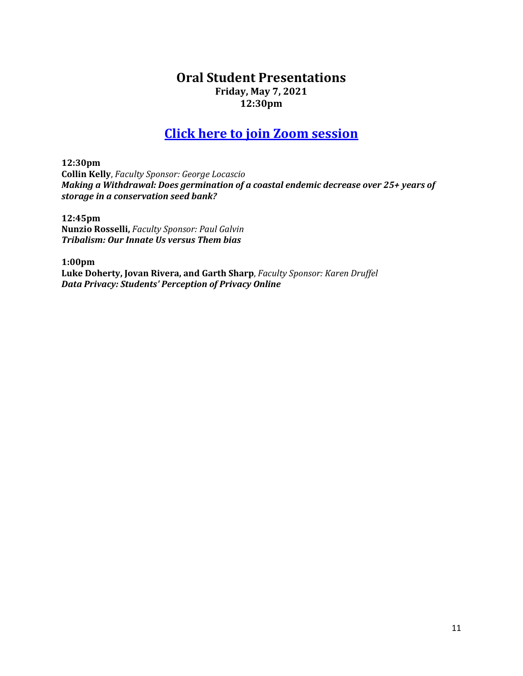# **Oral Student Presentations Friday, May 7, 2021 12:30pm**

# **[Click here to join Zoom session](https://us02web.zoom.us/j/83405581366?pwd=cGt2S2tJZExHYUtJaWhhMTZROGZmQT09)**

**12:30pm Collin Kelly**, *Faculty Sponsor: George Locascio Making a Withdrawal: Does germination of a coastal endemic decrease over 25+ years of storage in a conservation seed bank?*

**12:45pm Nunzio Rosselli,** *Faculty Sponsor: Paul Galvin Tribalism: Our Innate Us versus Them bias*

**1:00pm Luke Doherty, Jovan Rivera, and Garth Sharp**, *Faculty Sponsor: Karen Druffel Data Privacy: Students' Perception of Privacy Online*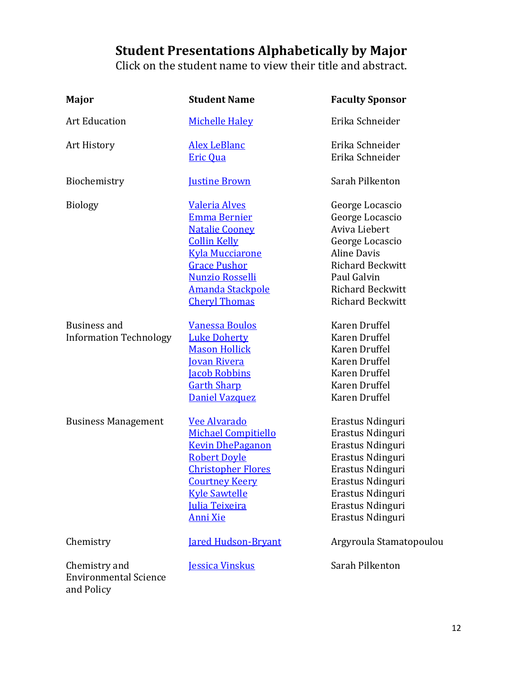# **Student Presentations Alphabetically by Major**

Click on the student name to view their title and abstract.

| Major                                                       | <b>Student Name</b>                                                                                                                                                                                                           | <b>Faculty Sponsor</b>                                                                                                                                                                |
|-------------------------------------------------------------|-------------------------------------------------------------------------------------------------------------------------------------------------------------------------------------------------------------------------------|---------------------------------------------------------------------------------------------------------------------------------------------------------------------------------------|
| <b>Art Education</b>                                        | <b>Michelle Haley</b>                                                                                                                                                                                                         | Erika Schneider                                                                                                                                                                       |
| Art History                                                 | <b>Alex LeBlanc</b><br><b>Eric Qua</b>                                                                                                                                                                                        | Erika Schneider<br>Erika Schneider                                                                                                                                                    |
| Biochemistry                                                | <b>Iustine Brown</b>                                                                                                                                                                                                          | Sarah Pilkenton                                                                                                                                                                       |
| <b>Biology</b>                                              | <b>Valeria Alves</b><br><b>Emma Bernier</b><br><b>Natalie Cooney</b><br><b>Collin Kelly</b><br><b>Kyla Mucciarone</b><br><b>Grace Pushor</b><br><b>Nunzio Rosselli</b><br><u>Amanda Stackpole</u><br><b>Cheryl Thomas</b>     | George Locascio<br>George Locascio<br>Aviva Liebert<br>George Locascio<br><b>Aline Davis</b><br><b>Richard Beckwitt</b><br>Paul Galvin<br><b>Richard Beckwitt</b><br>Richard Beckwitt |
| Business and<br><b>Information Technology</b>               | <b>Vanessa Boulos</b><br><b>Luke Doherty</b><br><b>Mason Hollick</b><br><u>Iovan Rivera</u><br><b>Jacob Robbins</b><br><b>Garth Sharp</b><br>Daniel Vazquez                                                                   | Karen Druffel<br>Karen Druffel<br>Karen Druffel<br>Karen Druffel<br>Karen Druffel<br>Karen Druffel<br>Karen Druffel                                                                   |
| <b>Business Management</b>                                  | <b>Vee Alvarado</b><br><b>Michael Compitiello</b><br><b>Kevin DhePaganon</b><br><b>Robert Doyle</b><br><b>Christopher Flores</b><br><b>Courtney Keery</b><br><b>Kyle Sawtelle</b><br><b>Julia Teixeira</b><br><b>Anni Xie</b> | Erastus Ndinguri<br>Erastus Ndinguri<br>Erastus Ndinguri<br>Erastus Ndinguri<br>Erastus Ndinguri<br>Erastus Ndinguri<br>Erastus Ndinguri<br>Erastus Ndinguri<br>Erastus Ndinguri      |
| Chemistry                                                   | <b>Jared Hudson-Bryant</b>                                                                                                                                                                                                    | Argyroula Stamatopoulou                                                                                                                                                               |
| Chemistry and<br><b>Environmental Science</b><br>and Policy | <b>Jessica Vinskus</b>                                                                                                                                                                                                        | Sarah Pilkenton                                                                                                                                                                       |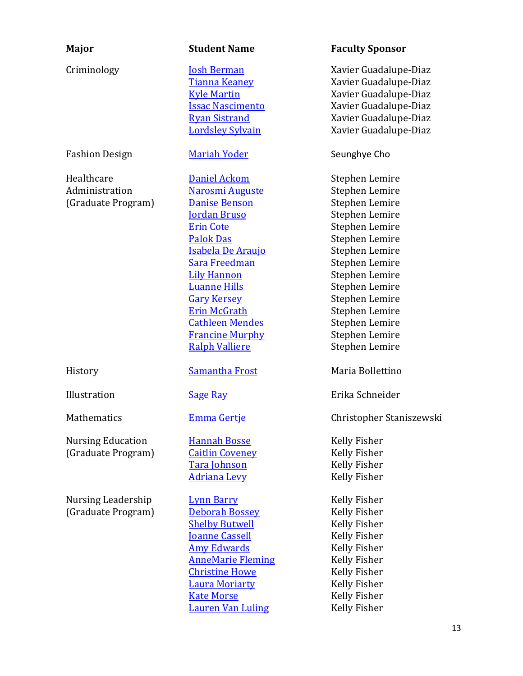| Major                                              | <b>Student Name</b>                                                                                                                                                                                                                                                                                                                                      | <b>Faculty Sponsor</b>                                                                                                                                                                                                                                                     |
|----------------------------------------------------|----------------------------------------------------------------------------------------------------------------------------------------------------------------------------------------------------------------------------------------------------------------------------------------------------------------------------------------------------------|----------------------------------------------------------------------------------------------------------------------------------------------------------------------------------------------------------------------------------------------------------------------------|
| Criminology                                        | <b>Josh Berman</b><br>Tianna Keaney<br><b>Kyle Martin</b><br><b>Issac Nascimento</b><br><b>Ryan Sistrand</b><br><b>Lordsley Sylvain</b>                                                                                                                                                                                                                  | Xavier Guadalupe-Diaz<br>Xavier Guadalupe-Diaz<br>Xavier Guadalupe-Diaz<br>Xavier Guadalupe-Diaz<br>Xavier Guadalupe-Diaz<br>Xavier Guadalupe-Diaz                                                                                                                         |
| <b>Fashion Design</b>                              | <b>Mariah Yoder</b>                                                                                                                                                                                                                                                                                                                                      | Seunghye Cho                                                                                                                                                                                                                                                               |
| Healthcare<br>Administration<br>(Graduate Program) | Daniel Ackom<br><b>Narosmi Auguste</b><br><b>Danise Benson</b><br><b>Jordan Bruso</b><br><b>Erin Cote</b><br><b>Palok Das</b><br><b>Isabela De Araujo</b><br><b>Sara Freedman</b><br><b>Lily Hannon</b><br><b>Luanne Hills</b><br><b>Gary Kersey</b><br><b>Erin McGrath</b><br><b>Cathleen Mendes</b><br><b>Francine Murphy</b><br><b>Ralph Valliere</b> | Stephen Lemire<br>Stephen Lemire<br>Stephen Lemire<br>Stephen Lemire<br>Stephen Lemire<br>Stephen Lemire<br>Stephen Lemire<br>Stephen Lemire<br>Stephen Lemire<br>Stephen Lemire<br>Stephen Lemire<br>Stephen Lemire<br>Stephen Lemire<br>Stephen Lemire<br>Stephen Lemire |
| History                                            | <b>Samantha Frost</b>                                                                                                                                                                                                                                                                                                                                    | Maria Bollettino                                                                                                                                                                                                                                                           |
| Illustration                                       | <b>Sage Ray</b>                                                                                                                                                                                                                                                                                                                                          | Erika Schneider                                                                                                                                                                                                                                                            |
| Mathematics                                        | <b>Emma Gertje</b>                                                                                                                                                                                                                                                                                                                                       | Christopher Staniszewski                                                                                                                                                                                                                                                   |
| <b>Nursing Education</b><br>(Graduate Program)     | <b>Hannah Bosse</b><br><b>Caitlin Coveney</b><br>Tara Johnson<br><b>Adriana Levy</b>                                                                                                                                                                                                                                                                     | <b>Kelly Fisher</b><br>Kelly Fisher<br>Kelly Fisher<br>Kelly Fisher                                                                                                                                                                                                        |
| <b>Nursing Leadership</b><br>(Graduate Program)    | <b>Lynn Barry</b><br><b>Deborah Bossey</b><br><b>Shelby Butwell</b><br><b>Joanne Cassell</b><br><b>Amy Edwards</b><br><b>AnneMarie Fleming</b><br><b>Christine Howe</b><br>Laura Moriarty<br><b>Kate Morse</b><br><b>Lauren Van Luling</b>                                                                                                               | Kelly Fisher<br>Kelly Fisher<br>Kelly Fisher<br>Kelly Fisher<br>Kelly Fisher<br>Kelly Fisher<br>Kelly Fisher<br><b>Kelly Fisher</b><br><b>Kelly Fisher</b><br>Kelly Fisher                                                                                                 |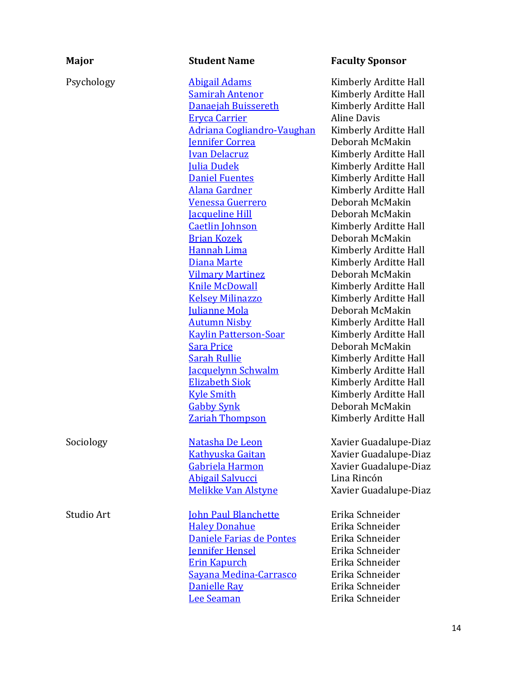| Major      | <b>Student Name</b>                                                                                                                                                                                                                                                                                                                                                                                                                                                                                                                                                                                                                                                                                                         | <b>Faculty Sponsor</b>                                                                                                                                                                                                                                                                                                                                                                                                                                                                                                                                                                                                                                                                         |
|------------|-----------------------------------------------------------------------------------------------------------------------------------------------------------------------------------------------------------------------------------------------------------------------------------------------------------------------------------------------------------------------------------------------------------------------------------------------------------------------------------------------------------------------------------------------------------------------------------------------------------------------------------------------------------------------------------------------------------------------------|------------------------------------------------------------------------------------------------------------------------------------------------------------------------------------------------------------------------------------------------------------------------------------------------------------------------------------------------------------------------------------------------------------------------------------------------------------------------------------------------------------------------------------------------------------------------------------------------------------------------------------------------------------------------------------------------|
| Psychology | <b>Abigail Adams</b><br><b>Samirah Antenor</b><br>Danaejah Buissereth<br><b>Eryca Carrier</b><br><b>Adriana Cogliandro-Vaughan</b><br><b>Jennifer Correa</b><br><b>Ivan Delacruz</b><br><b>Julia Dudek</b><br><b>Daniel Fuentes</b><br><b>Alana Gardner</b><br>Venessa Guerrero<br><b>Jacqueline Hill</b><br><b>Caetlin Johnson</b><br><b>Brian Kozek</b><br>Hannah Lima<br>Diana Marte<br><b>Vilmary Martinez</b><br><b>Knile McDowall</b><br><b>Kelsey Milinazzo</b><br><b>Iulianne Mola</b><br><b>Autumn Nisby</b><br><b>Kaylin Patterson-Soar</b><br><b>Sara Price</b><br><b>Sarah Rullie</b><br><b>Jacquelynn Schwalm</b><br><b>Elizabeth Siok</b><br><b>Kyle Smith</b><br><b>Gabby Synk</b><br><b>Zariah Thompson</b> | Kimberly Arditte Hall<br>Kimberly Arditte Hall<br>Kimberly Arditte Hall<br><b>Aline Davis</b><br>Kimberly Arditte Hall<br>Deborah McMakin<br>Kimberly Arditte Hall<br>Kimberly Arditte Hall<br>Kimberly Arditte Hall<br>Kimberly Arditte Hall<br>Deborah McMakin<br>Deborah McMakin<br>Kimberly Arditte Hall<br>Deborah McMakin<br>Kimberly Arditte Hall<br>Kimberly Arditte Hall<br>Deborah McMakin<br>Kimberly Arditte Hall<br>Kimberly Arditte Hall<br>Deborah McMakin<br>Kimberly Arditte Hall<br>Kimberly Arditte Hall<br>Deborah McMakin<br>Kimberly Arditte Hall<br>Kimberly Arditte Hall<br>Kimberly Arditte Hall<br>Kimberly Arditte Hall<br>Deborah McMakin<br>Kimberly Arditte Hall |
| Sociology  | Natasha De Leon<br><b>Kathyuska Gaitan</b><br>Gabriela Harmon<br><b>Abigail Salvucci</b><br><b>Melikke Van Alstyne</b>                                                                                                                                                                                                                                                                                                                                                                                                                                                                                                                                                                                                      | Xavier Guadalupe-Diaz<br>Xavier Guadalupe-Diaz<br>Xavier Guadalupe-Diaz<br>Lina Rincón<br>Xavier Guadalupe-Diaz                                                                                                                                                                                                                                                                                                                                                                                                                                                                                                                                                                                |
| Studio Art | <b>John Paul Blanchette</b><br><b>Haley Donahue</b><br>Daniele Farias de Pontes<br><b>Iennifer Hensel</b><br><b>Erin Kapurch</b><br>Sayana Medina-Carrasco<br>Danielle Ray<br><b>Lee Seaman</b>                                                                                                                                                                                                                                                                                                                                                                                                                                                                                                                             | Erika Schneider<br>Erika Schneider<br>Erika Schneider<br>Erika Schneider<br>Erika Schneider<br>Erika Schneider<br>Erika Schneider<br>Erika Schneider                                                                                                                                                                                                                                                                                                                                                                                                                                                                                                                                           |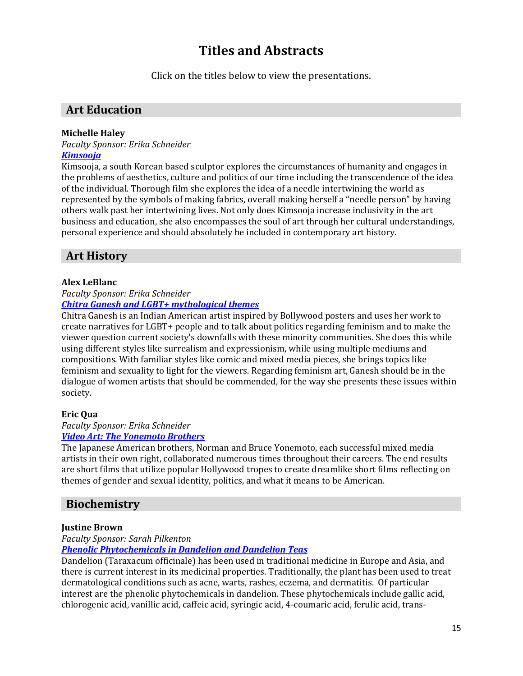# **Titles and Abstracts**

Click on the titles below to view the presentations.

# **Art Education**

## <span id="page-14-0"></span>**Michelle Haley**

*Faculty Sponsor: Erika Schneider*

# *[Kimsooja](https://www.framingham.edu/Assets/uploads/the-fsu-difference/centers-and-institutes/celtss/_documents/haley_michelle.pdf)*

Kimsooja, a south Korean based sculptor explores the circumstances of humanity and engages in the problems of aesthetics, culture and politics of our time including the transcendence of the idea of the individual. Thorough film she explores the idea of a needle intertwining the world as represented by the symbols of making fabrics, overall making herself a "needle person" by having others walk past her intertwining lives. Not only does Kimsooja increase inclusivity in the art business and education, she also encompasses the soul of art through her cultural understandings, personal experience and should absolutely be included in contemporary art history.

# **Art History**

## <span id="page-14-1"></span>**Alex LeBlanc**

### *Faculty Sponsor: Erika Schneider [Chitra Ganesh and LGBT+ mythological themes](https://www.framingham.edu/Assets/uploads/the-fsu-difference/centers-and-institutes/celtss/_documents/leblanc_alex.pdf)*

Chitra Ganesh is an Indian American artist inspired by Bollywood posters and uses her work to create narratives for LGBT+ people and to talk about politics regarding feminism and to make the viewer question current society's downfalls with these minority communities. She does this while using different styles like surrealism and expressionism, while using multiple mediums and compositions. With familiar styles like comic and mixed media pieces, she brings topics like feminism and sexuality to light for the viewers. Regarding feminism art, Ganesh should be in the dialogue of women artists that should be commended, for the way she presents these issues within society.

## <span id="page-14-2"></span>**Eric Qua**

### *Faculty Sponsor: Erika Schneider [Video Art: The Yonemoto Brothers](https://www.framingham.edu/Assets/uploads/the-fsu-difference/centers-and-institutes/celtss/_documents/qua_eric.pdf)*

The Japanese American brothers, Norman and Bruce Yonemoto, each successful mixed media artists in their own right, collaborated numerous times throughout their careers. The end results are short films that utilize popular Hollywood tropes to create dreamlike short films reflecting on themes of gender and sexual identity, politics, and what it means to be American.

# **Biochemistry**

## <span id="page-14-3"></span>**Justine Brown**

### *Faculty Sponsor: Sarah Pilkenton*

## *[Phenolic Phytochemicals in Dandelion and Dandelion Teas](https://vimeo.com/536171771)*

Dandelion (Taraxacum officinale) has been used in traditional medicine in Europe and Asia, and there is current interest in its medicinal properties. Traditionally, the plant has been used to treat dermatological conditions such as acne, warts, rashes, eczema, and dermatitis. Of particular interest are the phenolic phytochemicals in dandelion. These phytochemicals include gallic acid, chlorogenic acid, vanillic acid, caffeic acid, syringic acid, 4-coumaric acid, ferulic acid, trans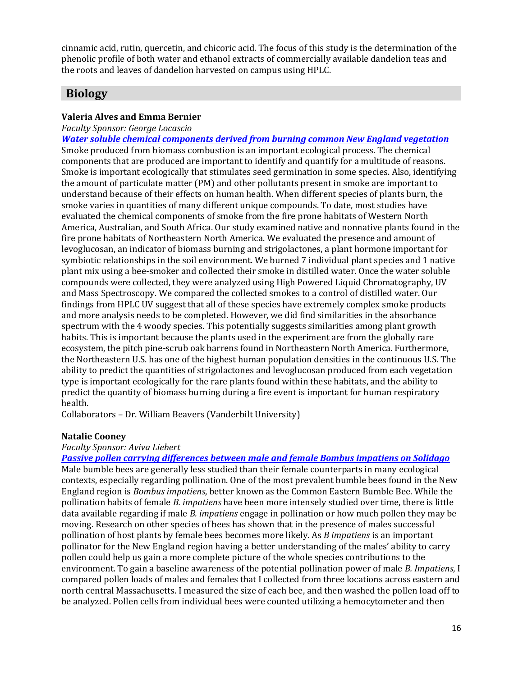cinnamic acid, rutin, quercetin, and chicoric acid. The focus of this study is the determination of the phenolic profile of both water and ethanol extracts of commercially available dandelion teas and the roots and leaves of dandelion harvested on campus using HPLC.

# **Biology**

# <span id="page-15-1"></span><span id="page-15-0"></span>**Valeria Alves and Emma Bernier**

*Faculty Sponsor: George Locascio*

*[Water soluble chemical components derived from burning common New England vegetation](https://www.framingham.edu/Assets/uploads/the-fsu-difference/centers-and-institutes/celtss/_documents/bernier_emma2.pdf)* Smoke produced from biomass combustion is an important ecological process. The chemical components that are produced are important to identify and quantify for a multitude of reasons. Smoke is important ecologically that stimulates seed germination in some species. Also, identifying the amount of particulate matter (PM) and other pollutants present in smoke are important to understand because of their effects on human health. When different species of plants burn, the smoke varies in quantities of many different unique compounds. To date, most studies have evaluated the chemical components of smoke from the fire prone habitats of Western North America, Australian, and South Africa. Our study examined native and nonnative plants found in the fire prone habitats of Northeastern North America. We evaluated the presence and amount of levoglucosan, an indicator of biomass burning and strigolactones, a plant hormone important for symbiotic relationships in the soil environment. We burned 7 individual plant species and 1 native plant mix using a bee-smoker and collected their smoke in distilled water. Once the water soluble compounds were collected, they were analyzed using High Powered Liquid Chromatography, UV and Mass Spectroscopy. We compared the collected smokes to a control of distilled water. Our findings from HPLC UV suggest that all of these species have extremely complex smoke products and more analysis needs to be completed. However, we did find similarities in the absorbance spectrum with the 4 woody species. This potentially suggests similarities among plant growth habits. This is important because the plants used in the experiment are from the globally rare ecosystem, the pitch pine-scrub oak barrens found in Northeastern North America. Furthermore, the Northeastern U.S. has one of the highest human population densities in the continuous U.S. The ability to predict the quantities of strigolactones and levoglucosan produced from each vegetation type is important ecologically for the rare plants found within these habitats, and the ability to predict the quantity of biomass burning during a fire event is important for human respiratory health.

Collaborators – Dr. William Beavers (Vanderbilt University)

## <span id="page-15-2"></span>**Natalie Cooney**

## *Faculty Sponsor: Aviva Liebert*

*[Passive pollen carrying differences between male and female Bombus impatiens on Solidago](https://framingham.voicethread.com/share/16394297/)* Male bumble bees are generally less studied than their female counterparts in many ecological contexts, especially regarding pollination. One of the most prevalent bumble bees found in the New England region is *Bombus impatiens*, better known as the Common Eastern Bumble Bee. While the pollination habits of female *B. impatiens* have been more intensely studied over time, there is little data available regarding if male *B. impatiens* engage in pollination or how much pollen they may be moving. Research on other species of bees has shown that in the presence of males successful pollination of host plants by female bees becomes more likely. As *B impatiens* is an important pollinator for the New England region having a better understanding of the males' ability to carry pollen could help us gain a more complete picture of the whole species contributions to the environment. To gain a baseline awareness of the potential pollination power of male *B. Impatiens*, I compared pollen loads of males and females that I collected from three locations across eastern and north central Massachusetts. I measured the size of each bee, and then washed the pollen load off to be analyzed. Pollen cells from individual bees were counted utilizing a hemocytometer and then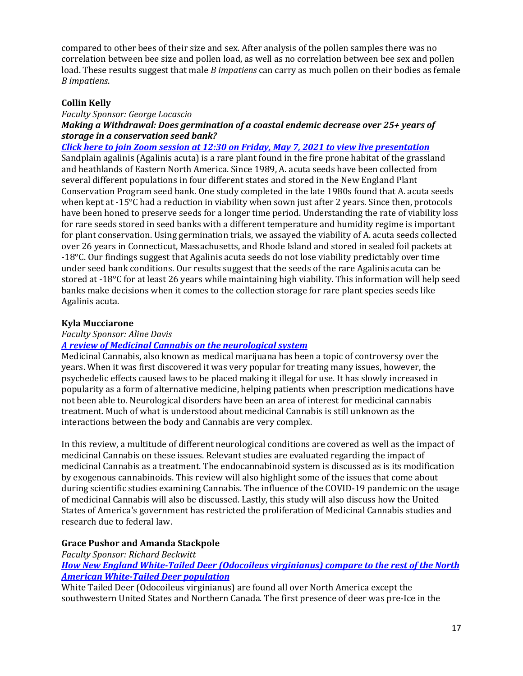compared to other bees of their size and sex. After analysis of the pollen samples there was no correlation between bee size and pollen load, as well as no correlation between bee sex and pollen load. These results suggest that male *B impatiens* can carry as much pollen on their bodies as female *B impatiens*.

## <span id="page-16-0"></span>**Collin Kelly**

#### *Faculty Sponsor: George Locascio Making a Withdrawal: Does germination of a coastal endemic decrease over 25+ years of storage in a conservation seed bank?*

*[Click here to join Zoom session at 12:30 on Friday,](https://us02web.zoom.us/j/83405581366?pwd=cGt2S2tJZExHYUtJaWhhMTZROGZmQT09) May 7, 2021 to view live presentation* Sandplain agalinis (Agalinis acuta) is a rare plant found in the fire prone habitat of the grassland and heathlands of Eastern North America. Since 1989, A. acuta seeds have been collected from several different populations in four different states and stored in the New England Plant Conservation Program seed bank. One study completed in the late 1980s found that A. acuta seeds when kept at -15°C had a reduction in viability when sown just after 2 years. Since then, protocols have been honed to preserve seeds for a longer time period. Understanding the rate of viability loss for rare seeds stored in seed banks with a different temperature and humidity regime is important for plant conservation. Using germination trials, we assayed the viability of A. acuta seeds collected over 26 years in Connecticut, Massachusetts, and Rhode Island and stored in sealed foil packets at -18°C. Our findings suggest that Agalinis acuta seeds do not lose viability predictably over time under seed bank conditions. Our results suggest that the seeds of the rare Agalinis acuta can be stored at -18°C for at least 26 years while maintaining high viability. This information will help seed banks make decisions when it comes to the collection storage for rare plant species seeds like Agalinis acuta.

## <span id="page-16-1"></span>**Kyla Mucciarone**

### *Faculty Sponsor: Aline Davis*

## *[A review of Medicinal Cannabis on the neurological system](https://framingham.voicethread.com/share/17568941/)*

Medicinal Cannabis, also known as medical marijuana has been a topic of controversy over the years. When it was first discovered it was very popular for treating many issues, however, the psychedelic effects caused laws to be placed making it illegal for use. It has slowly increased in popularity as a form of alternative medicine, helping patients when prescription medications have not been able to. Neurological disorders have been an area of interest for medicinal cannabis treatment. Much of what is understood about medicinal Cannabis is still unknown as the interactions between the body and Cannabis are very complex.

In this review, a multitude of different neurological conditions are covered as well as the impact of medicinal Cannabis on these issues. Relevant studies are evaluated regarding the impact of medicinal Cannabis as a treatment. The endocannabinoid system is discussed as is its modification by exogenous cannabinoids. This review will also highlight some of the issues that come about during scientific studies examining Cannabis. The influence of the COVID-19 pandemic on the usage of medicinal Cannabis will also be discussed. Lastly, this study will also discuss how the United States of America's government has restricted the proliferation of Medicinal Cannabis studies and research due to federal law.

## <span id="page-16-3"></span><span id="page-16-2"></span>**Grace Pushor and Amanda Stackpole**

*Faculty Sponsor: Richard Beckwitt [How New England White-Tailed Deer \(Odocoileus virginianus\) compare to the rest of the North](https://voicethread.com/share/17613186/)  [American White-Tailed Deer population](https://voicethread.com/share/17613186/)*

White Tailed Deer (Odocoileus virginianus) are found all over North America except the southwestern United States and Northern Canada. The first presence of deer was pre-Ice in the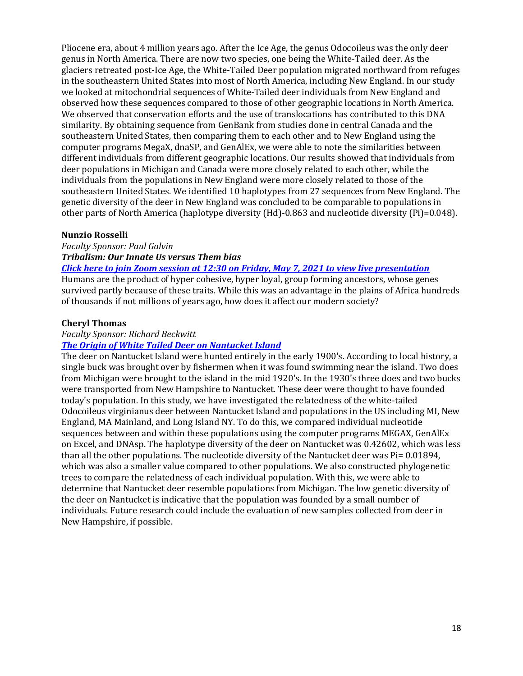Pliocene era, about 4 million years ago. After the Ice Age, the genus Odocoileus was the only deer genus in North America. There are now two species, one being the White-Tailed deer. As the glaciers retreated post-Ice Age, the White-Tailed Deer population migrated northward from refuges in the southeastern United States into most of North America, including New England. In our study we looked at mitochondrial sequences of White-Tailed deer individuals from New England and observed how these sequences compared to those of other geographic locations in North America. We observed that conservation efforts and the use of translocations has contributed to this DNA similarity. By obtaining sequence from GenBank from studies done in central Canada and the southeastern United States, then comparing them to each other and to New England using the computer programs MegaX, dnaSP, and GenAlEx, we were able to note the similarities between different individuals from different geographic locations. Our results showed that individuals from deer populations in Michigan and Canada were more closely related to each other, while the individuals from the populations in New England were more closely related to those of the southeastern United States. We identified 10 haplotypes from 27 sequences from New England. The genetic diversity of the deer in New England was concluded to be comparable to populations in other parts of North America (haplotype diversity (Hd)-0.863 and nucleotide diversity (Pi)=0.048).

### <span id="page-17-0"></span>**Nunzio Rosselli**

*Faculty Sponsor: Paul Galvin Tribalism: Our Innate Us versus Them bias*

*[Click here to join Zoom session at 12:30 on Friday, May 7, 2021 to view live presentation](https://us02web.zoom.us/j/83405581366?pwd=cGt2S2tJZExHYUtJaWhhMTZROGZmQT09)*

Humans are the product of hyper cohesive, hyper loyal, group forming ancestors, whose genes survived partly because of these traits. While this was an advantage in the plains of Africa hundreds of thousands if not millions of years ago, how does it affect our modern society?

### <span id="page-17-1"></span>**Cheryl Thomas**

#### *Faculty Sponsor: Richard Beckwitt [The Origin of White Tailed Deer on Nantucket Island](https://framingham.voicethread.com/share/17613380/)*

The deer on Nantucket Island were hunted entirely in the early 1900's. According to local history, a single buck was brought over by fishermen when it was found swimming near the island. Two does from Michigan were brought to the island in the mid 1920's. In the 1930's three does and two bucks were transported from New Hampshire to Nantucket. These deer were thought to have founded today's population. In this study, we have investigated the relatedness of the white-tailed Odocoileus virginianus deer between Nantucket Island and populations in the US including MI, New England, MA Mainland, and Long Island NY. To do this, we compared individual nucleotide sequences between and within these populations using the computer programs MEGAX, GenAlEx on Excel, and DNAsp. The haplotype diversity of the deer on Nantucket was 0.42602, which was less than all the other populations. The nucleotide diversity of the Nantucket deer was Pi= 0.01894, which was also a smaller value compared to other populations. We also constructed phylogenetic trees to compare the relatedness of each individual population. With this, we were able to determine that Nantucket deer resemble populations from Michigan. The low genetic diversity of the deer on Nantucket is indicative that the population was founded by a small number of individuals. Future research could include the evaluation of new samples collected from deer in New Hampshire, if possible.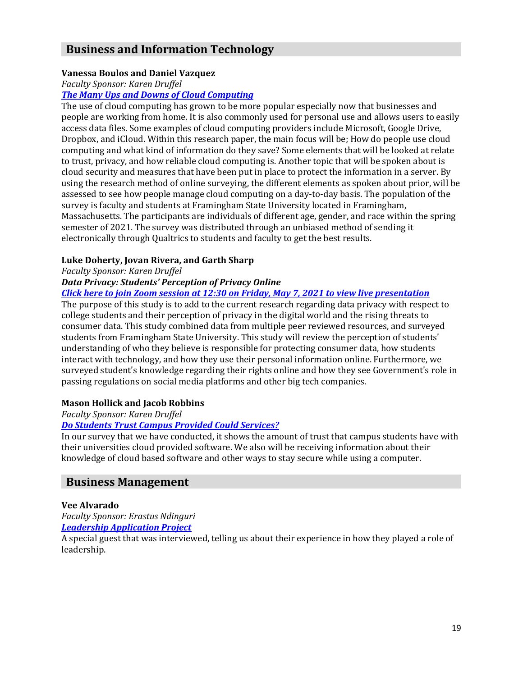# <span id="page-18-6"></span>**Business and Information Technology**

# <span id="page-18-0"></span>**Vanessa Boulos and Daniel Vazquez**

*Faculty Sponsor: Karen Druffel*

### *[The Many Ups and Downs of Cloud Computing](https://drive.google.com/file/d/18s4NBBNb-MQnuyyr3r9HcbmTtLbqL5cW/view)*

The use of cloud computing has grown to be more popular especially now that businesses and people are working from home. It is also commonly used for personal use and allows users to easily access data files. Some examples of cloud computing providers include Microsoft, Google Drive, Dropbox, and iCloud. Within this research paper, the main focus will be; How do people use cloud computing and what kind of information do they save? Some elements that will be looked at relate to trust, privacy, and how reliable cloud computing is. Another topic that will be spoken about is cloud security and measures that have been put in place to protect the information in a server. By using the research method of online surveying, the different elements as spoken about prior, will be assessed to see how people manage cloud computing on a day-to-day basis. The population of the survey is faculty and students at Framingham State University located in Framingham, Massachusetts. The participants are individuals of different age, gender, and race within the spring semester of 2021. The survey was distributed through an unbiased method of sending it electronically through Qualtrics to students and faculty to get the best results.

## <span id="page-18-5"></span><span id="page-18-3"></span><span id="page-18-1"></span>**Luke Doherty, Jovan Rivera, and Garth Sharp**

### *Faculty Sponsor: Karen Druffel*

### *Data Privacy: Students' Perception of Privacy Online*

### *[Click here to join Zoom session at 12:30 on Friday, May 7, 2021 to view live presentation](https://us02web.zoom.us/j/83405581366?pwd=cGt2S2tJZExHYUtJaWhhMTZROGZmQT09)*

The purpose of this study is to add to the current research regarding data privacy with respect to college students and their perception of privacy in the digital world and the rising threats to consumer data. This study combined data from multiple peer reviewed resources, and surveyed students from Framingham State University. This study will review the perception of students' understanding of who they believe is responsible for protecting consumer data, how students interact with technology, and how they use their personal information online. Furthermore, we surveyed student's knowledge regarding their rights online and how they see Government's role in passing regulations on social media platforms and other big tech companies.

## <span id="page-18-4"></span><span id="page-18-2"></span>**Mason Hollick and Jacob Robbins**

## *Faculty Sponsor: Karen Druffel*

## *[Do Students Trust Campus Provided Could Services?](https://www.framingham.edu/Assets/uploads/the-fsu-difference/centers-and-institutes/celtss/_documents/hollick_mason.pdf)*

In our survey that we have conducted, it shows the amount of trust that campus students have with their universities cloud provided software. We also will be receiving information about their knowledge of cloud based software and other ways to stay secure while using a computer.

# **Business Management**

## <span id="page-18-7"></span>**Vee Alvarado**

*Faculty Sponsor: Erastus Ndinguri [Leadership Application Project](https://framingham.hosted.panopto.com/Panopto/Pages/Viewer.aspx?id=032de67b-25fe-4e36-a8b5-ad1b004e3177)*

<span id="page-18-8"></span>A special guest that was interviewed, telling us about their experience in how they played a role of leadership.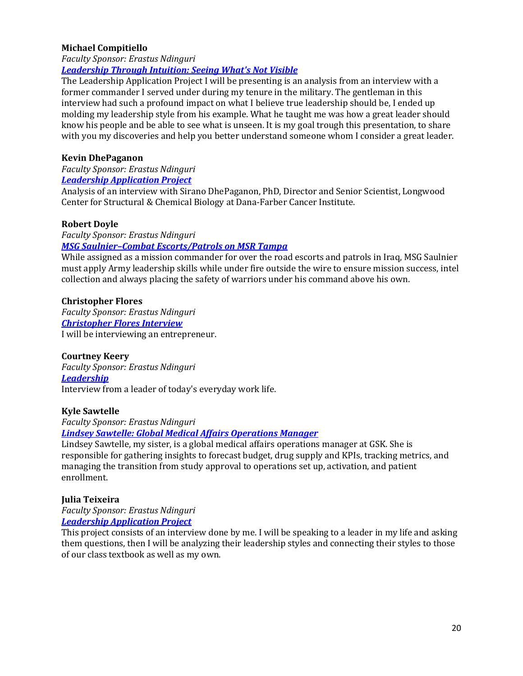## **Michael Compitiello**

*Faculty Sponsor: Erastus Ndinguri [Leadership Through Intuition:](https://pro.panopto.com/Panopto/Pages/Viewer.aspx?tid=3eadbdf8-5e69-4bb8-9ea7-ad1d0161e6dd) Seeing What's Not Visible*

The Leadership Application Project I will be presenting is an analysis from an interview with a former commander I served under during my tenure in the military. The gentleman in this interview had such a profound impact on what I believe true leadership should be, I ended up molding my leadership style from his example. What he taught me was how a great leader should know his people and be able to see what is unseen. It is my goal trough this presentation, to share with you my discoveries and help you better understand someone whom I consider a great leader.

### <span id="page-19-0"></span>**Kevin DhePaganon**

*Faculty Sponsor: Erastus Ndinguri [Leadership Application Project](https://framingham.hosted.panopto.com/Panopto/Pages/Viewer.aspx?id=0e2600f7-7451-4403-83b6-ad1b0029f46d)*

Analysis of an interview with Sirano DhePaganon, PhD, Director and Senior Scientist, Longwood Center for Structural & Chemical Biology at Dana-Farber Cancer Institute.

### <span id="page-19-1"></span>**Robert Doyle**

*Faculty Sponsor: Erastus Ndinguri*

### *MSG Saulnier–[Combat Escorts/Patrols on MSR Tampa](https://framingham.hosted.panopto.com/Panopto/Pages/Viewer.aspx?id=ef8f1c57-a3e8-4386-a4d9-ad1b0026ccf7)*

While assigned as a mission commander for over the road escorts and patrols in Iraq, MSG Saulnier must apply Army leadership skills while under fire outside the wire to ensure mission success, intel collection and always placing the safety of warriors under his command above his own.

### <span id="page-19-2"></span>**Christopher Flores**

*Faculty Sponsor: Erastus Ndinguri [Christopher Flores Interview](https://framingham.hosted.panopto.com/Panopto/Pages/Viewer.aspx?id=9eb0a8ac-6adb-40eb-b3b7-ad1a018aced3)* I will be interviewing an entrepreneur.

### <span id="page-19-3"></span>**Courtney Keery**

*Faculty Sponsor: Erastus Ndinguri [Leadership](https://screencast-o-matic.com/watch/crfvluVekTd)* Interview from a leader of today's everyday work life.

### <span id="page-19-4"></span>**Kyle Sawtelle**

*Faculty Sponsor: Erastus Ndinguri [Lindsey Sawtelle: Global Medical Affairs Operations Manager](https://framingham.hosted.panopto.com/Panopto/Pages/Viewer.aspx?id=94f25a01-4b0f-4a64-b0e2-ad1a01358c66)*

Lindsey Sawtelle, my sister, is a global medical affairs operations manager at GSK. She is responsible for gathering insights to forecast budget, drug supply and KPIs, tracking metrics, and managing the transition from study approval to operations set up, activation, and patient enrollment.

### <span id="page-19-5"></span>**Julia Teixeira**

*Faculty Sponsor: Erastus Ndinguri [Leadership Application Project](https://framingham.hosted.panopto.com/Panopto/Pages/Viewer.aspx?id=7368e720-292c-4003-8857-ad1c013a324f)*

<span id="page-19-6"></span>This project consists of an interview done by me. I will be speaking to a leader in my life and asking them questions, then I will be analyzing their leadership styles and connecting their styles to those of our class textbook as well as my own.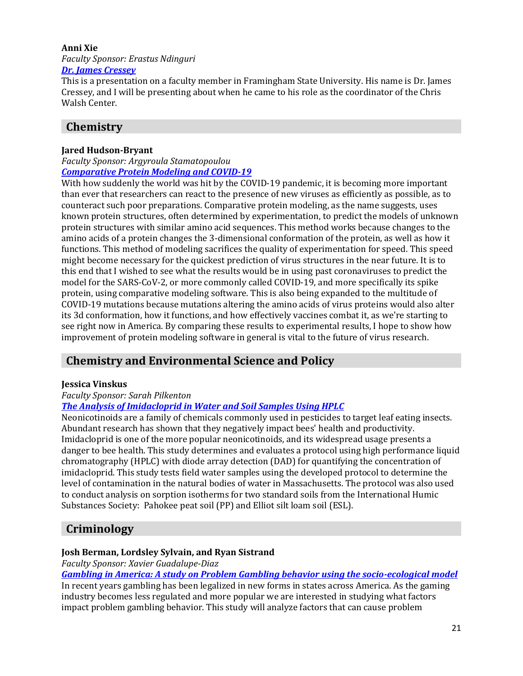#### **Anni Xie** *Faculty Sponsor: Erastus Ndinguri [Dr. James Cressey](https://drive.google.com/file/d/1999DiYk_NPyLah1U3S9mSYaXvpuuZee6/view?usp=sharing)*

This is a presentation on a faculty member in Framingham State University. His name is Dr. James Cressey, and I will be presenting about when he came to his role as the coordinator of the Chris Walsh Center.

# **Chemistry**

# <span id="page-20-0"></span>**Jared Hudson-Bryant**

*Faculty Sponsor: Argyroula Stamatopoulou [Comparative Protein Modeling and COVID-19](https://www.youtube.com/watch?v=vKNklb87E6k)*

With how suddenly the world was hit by the COVID-19 pandemic, it is becoming more important than ever that researchers can react to the presence of new viruses as efficiently as possible, as to counteract such poor preparations. Comparative protein modeling, as the name suggests, uses known protein structures, often determined by experimentation, to predict the models of unknown protein structures with similar amino acid sequences. This method works because changes to the amino acids of a protein changes the 3-dimensional conformation of the protein, as well as how it functions. This method of modeling sacrifices the quality of experimentation for speed. This speed might become necessary for the quickest prediction of virus structures in the near future. It is to this end that I wished to see what the results would be in using past coronaviruses to predict the model for the SARS-CoV-2, or more commonly called COVID-19, and more specifically its spike protein, using comparative modeling software. This is also being expanded to the multitude of COVID-19 mutations because mutations altering the amino acids of virus proteins would also alter its 3d conformation, how it functions, and how effectively vaccines combat it, as we're starting to see right now in America. By comparing these results to experimental results, I hope to show how improvement of protein modeling software in general is vital to the future of virus research.

# **Chemistry and Environmental Science and Policy**

## <span id="page-20-1"></span>**Jessica Vinskus**

# *Faculty Sponsor: Sarah Pilkenton*

## *[The Analysis of Imidacloprid in Water and Soil Samples Using HPLC](https://youtu.be/Sx8WW-Dz1YY)*

Neonicotinoids are a family of chemicals commonly used in pesticides to target leaf eating insects. Abundant research has shown that they negatively impact bees' health and productivity. Imidacloprid is one of the more popular neonicotinoids, and its widespread usage presents a danger to bee health. This study determines and evaluates a protocol using high performance liquid chromatography (HPLC) with diode array detection (DAD) for quantifying the concentration of imidacloprid. This study tests field water samples using the developed protocol to determine the level of contamination in the natural bodies of water in Massachusetts. The protocol was also used to conduct analysis on sorption isotherms for two standard soils from the International Humic Substances Society: Pahokee peat soil (PP) and Elliot silt loam soil (ESL).

# <span id="page-20-3"></span>**Criminology**

## <span id="page-20-4"></span><span id="page-20-2"></span>**Josh Berman, Lordsley Sylvain, and Ryan Sistrand**

*Faculty Sponsor: Xavier Guadalupe-Diaz*

*Gambling [in America: A study on Problem Gambling behavior using the socio-ecological model](https://docs.google.com/presentation/d/18xUjiyCLyavesT3b0tDmMS0YmedJY1ukpoJkbKF9dd0/edit?ts=60918feb#slide=id.p)*

In recent years gambling has been legalized in new forms in states across America. As the gaming industry becomes less regulated and more popular we are interested in studying what factors impact problem gambling behavior. This study will analyze factors that can cause problem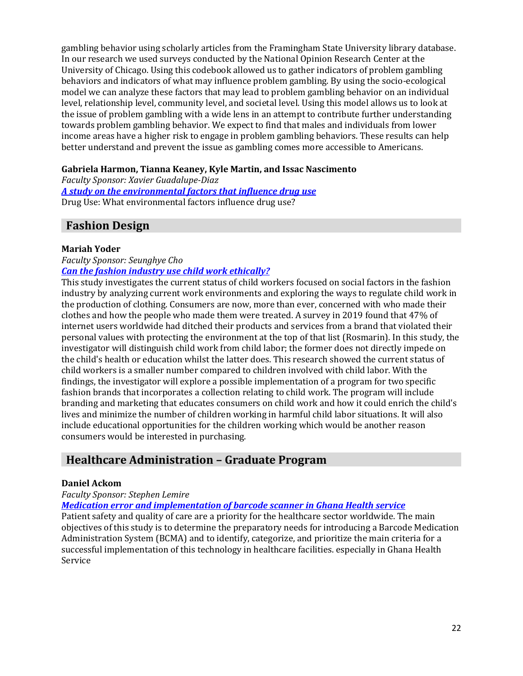gambling behavior using scholarly articles from the Framingham State University library database. In our research we used surveys conducted by the National Opinion Research Center at the University of Chicago. Using this codebook allowed us to gather indicators of problem gambling behaviors and indicators of what may influence problem gambling. By using the socio-ecological model we can analyze these factors that may lead to problem gambling behavior on an individual level, relationship level, community level, and societal level. Using this model allows us to look at the issue of problem gambling with a wide lens in an attempt to contribute further understanding towards problem gambling behavior. We expect to find that males and individuals from lower income areas have a higher risk to engage in problem gambling behaviors. These results can help better understand and prevent the issue as gambling comes more accessible to Americans.

# <span id="page-21-6"></span><span id="page-21-2"></span><span id="page-21-1"></span><span id="page-21-0"></span>**Gabriela Harmon, Tianna Keaney, Kyle Martin, and Issac Nascimento**

*Faculty Sponsor: Xavier Guadalupe-Diaz*

*[A study on the environmental factors that influence drug use](https://www.framingham.edu/Assets/uploads/the-fsu-difference/centers-and-institutes/celtss/_documents/keaney_tianna.pptx)* Drug Use: What environmental factors influence drug use?

# **Fashion Design**

## <span id="page-21-3"></span>**Mariah Yoder**

*Faculty Sponsor: Seunghye Cho*

## *[Can the fashion industry use child work ethically?](https://vimeo.com/536106307)*

This study investigates the current status of child workers focused on social factors in the fashion industry by analyzing current work environments and exploring the ways to regulate child work in the production of clothing. Consumers are now, more than ever, concerned with who made their clothes and how the people who made them were treated. A survey in 2019 found that 47% of internet users worldwide had ditched their products and services from a brand that violated their personal values with protecting the environment at the top of that list (Rosmarin). In this study, the investigator will distinguish child work from child labor; the former does not directly impede on the child's health or education whilst the latter does. This research showed the current status of child workers is a smaller number compared to children involved with child labor. With the findings, the investigator will explore a possible implementation of a program for two specific fashion brands that incorporates a collection relating to child work. The program will include branding and marketing that educates consumers on child work and how it could enrich the child's lives and minimize the number of children working in harmful child labor situations. It will also include educational opportunities for the children working which would be another reason consumers would be interested in purchasing.

# **Healthcare Administration – Graduate Program**

## <span id="page-21-4"></span>**Daniel Ackom**

## *Faculty Sponsor: Stephen Lemire*

*[Medication error and implementation of barcode scanner in Ghana Health service](https://www.framingham.edu/Assets/uploads/the-fsu-difference/centers-and-institutes/celtss/_documents/ackom_daniel2.pdf)*

<span id="page-21-5"></span>Patient safety and quality of care are a priority for the healthcare sector worldwide. The main objectives of this study is to determine the preparatory needs for introducing a Barcode Medication Administration System (BCMA) and to identify, categorize, and prioritize the main criteria for a successful implementation of this technology in healthcare facilities. especially in Ghana Health Service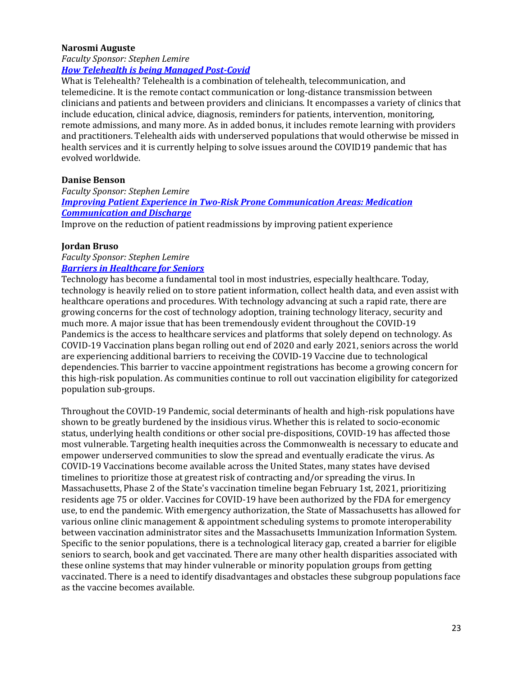### **Narosmi Auguste**

### *Faculty Sponsor: Stephen Lemire [How Telehealth is being Managed Post-Covid](https://www.framingham.edu/Assets/uploads/the-fsu-difference/centers-and-institutes/celtss/_documents/auguste_narosmi.pptx)*

What is Telehealth? Telehealth is a combination of telehealth, telecommunication, and telemedicine. It is the remote contact communication or long-distance transmission between clinicians and patients and between providers and clinicians. It encompasses a variety of clinics that include education, clinical advice, diagnosis, reminders for patients, intervention, monitoring, remote admissions, and many more. As in added bonus, it includes remote learning with providers and practitioners. Telehealth aids with underserved populations that would otherwise be missed in health services and it is currently helping to solve issues around the COVID19 pandemic that has evolved worldwide.

## <span id="page-22-0"></span>**Danise Benson**

*Faculty Sponsor: Stephen Lemire [Improving Patient Experience in Two-Risk Prone Communication Areas: Medication](https://www.framingham.edu/Assets/uploads/the-fsu-difference/centers-and-institutes/celtss/_documents/benson_danise.pdf)  [Communication and Discharge](https://www.framingham.edu/Assets/uploads/the-fsu-difference/centers-and-institutes/celtss/_documents/benson_danise.pdf)*

Improve on the reduction of patient readmissions by improving patient experience

## <span id="page-22-1"></span>**Jordan Bruso**

#### *Faculty Sponsor: Stephen Lemire [Barriers in Healthcare for Seniors](https://www.framingham.edu/Assets/uploads/the-fsu-difference/centers-and-institutes/celtss/_documents/bruso_jordan.pdf)*

Technology has become a fundamental tool in most industries, especially healthcare. Today, technology is heavily relied on to store patient information, collect health data, and even assist with healthcare operations and procedures. With technology advancing at such a rapid rate, there are growing concerns for the cost of technology adoption, training technology literacy, security and much more. A major issue that has been tremendously evident throughout the COVID-19 Pandemics is the access to healthcare services and platforms that solely depend on technology. As COVID-19 Vaccination plans began rolling out end of 2020 and early 2021, seniors across the world are experiencing additional barriers to receiving the COVID-19 Vaccine due to technological dependencies. This barrier to vaccine appointment registrations has become a growing concern for this high-risk population. As communities continue to roll out vaccination eligibility for categorized population sub-groups.

Throughout the COVID-19 Pandemic, social determinants of health and high-risk populations have shown to be greatly burdened by the insidious virus. Whether this is related to socio-economic status, underlying health conditions or other social pre-dispositions, COVID-19 has affected those most vulnerable. Targeting health inequities across the Commonwealth is necessary to educate and empower underserved communities to slow the spread and eventually eradicate the virus. As COVID-19 Vaccinations become available across the United States, many states have devised timelines to prioritize those at greatest risk of contracting and/or spreading the virus. In Massachusetts, Phase 2 of the State's vaccination timeline began February 1st, 2021, prioritizing residents age 75 or older. Vaccines for COVID-19 have been authorized by the FDA for emergency use, to end the pandemic. With emergency authorization, the State of Massachusetts has allowed for various online clinic management & appointment scheduling systems to promote interoperability between vaccination administrator sites and the Massachusetts Immunization Information System. Specific to the senior populations, there is a technological literacy gap, created a barrier for eligible seniors to search, book and get vaccinated. There are many other health disparities associated with these online systems that may hinder vulnerable or minority population groups from getting vaccinated. There is a need to identify disadvantages and obstacles these subgroup populations face as the vaccine becomes available.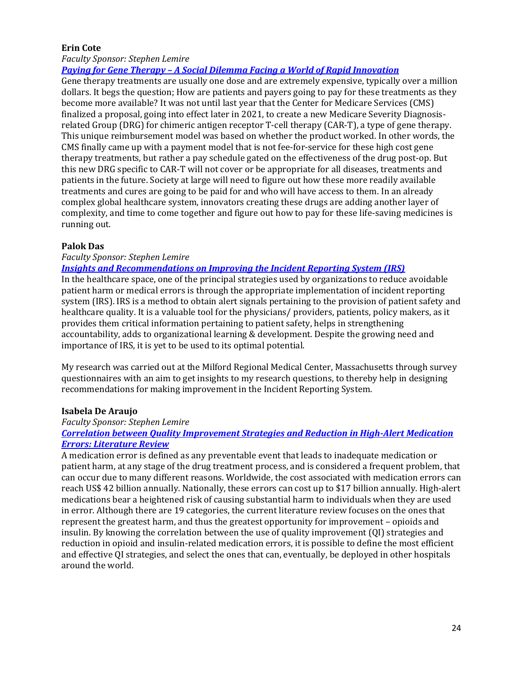## <span id="page-23-0"></span>**Erin Cote**

*Faculty Sponsor: Stephen Lemire*

*Paying for Gene Therapy – [A Social Dilemma Facing a World of Rapid Innovation](https://www.framingham.edu/Assets/uploads/the-fsu-difference/centers-and-institutes/celtss/_documents/cote_erin.pdf)*

Gene therapy treatments are usually one dose and are extremely expensive, typically over a million dollars. It begs the question; How are patients and payers going to pay for these treatments as they become more available? It was not until last year that the Center for Medicare Services (CMS) finalized a proposal, going into effect later in 2021, to create a new Medicare Severity Diagnosisrelated Group (DRG) for chimeric antigen receptor T-cell therapy (CAR-T), a type of gene therapy. This unique reimbursement model was based on whether the product worked. In other words, the CMS finally came up with a payment model that is not fee-for-service for these high cost gene therapy treatments, but rather a pay schedule gated on the effectiveness of the drug post-op. But this new DRG specific to CAR-T will not cover or be appropriate for all diseases, treatments and patients in the future. Society at large will need to figure out how these more readily available treatments and cures are going to be paid for and who will have access to them. In an already complex global healthcare system, innovators creating these drugs are adding another layer of complexity, and time to come together and figure out how to pay for these life-saving medicines is running out.

### <span id="page-23-1"></span>**Palok Das**

## *Faculty Sponsor: Stephen Lemire*

### *[Insights and Recommendations on Improving the Incident Reporting System \(IRS\)](https://www.youtube.com/watch?v=MAivS8vMGWk)*

In the healthcare space, one of the principal strategies used by organizations to reduce avoidable patient harm or medical errors is through the appropriate implementation of incident reporting system (IRS). IRS is a method to obtain alert signals pertaining to the provision of patient safety and healthcare quality. It is a valuable tool for the physicians/ providers, patients, policy makers, as it provides them critical information pertaining to patient safety, helps in strengthening accountability, adds to organizational learning & development. Despite the growing need and importance of IRS, it is yet to be used to its optimal potential.

My research was carried out at the Milford Regional Medical Center, Massachusetts through survey questionnaires with an aim to get insights to my research questions, to thereby help in designing recommendations for making improvement in the Incident Reporting System.

## <span id="page-23-2"></span>**Isabela De Araujo**

## *Faculty Sponsor: Stephen Lemire*

### *[Correlation between Quality Improvement Strategies and Reduction in High-Alert Medication](https://www.framingham.edu/Assets/uploads/the-fsu-difference/centers-and-institutes/celtss/_documents/dearaujo_isabela2.pdf)  [Errors: Literature Review](https://www.framingham.edu/Assets/uploads/the-fsu-difference/centers-and-institutes/celtss/_documents/dearaujo_isabela2.pdf)*

<span id="page-23-3"></span>A medication error is defined as any preventable event that leads to inadequate medication or patient harm, at any stage of the drug treatment process, and is considered a frequent problem, that can occur due to many different reasons. Worldwide, the cost associated with medication errors can reach US\$ 42 billion annually. Nationally, these errors can cost up to \$17 billion annually. High-alert medications bear a heightened risk of causing substantial harm to individuals when they are used in error. Although there are 19 categories, the current literature review focuses on the ones that represent the greatest harm, and thus the greatest opportunity for improvement – opioids and insulin. By knowing the correlation between the use of quality improvement (QI) strategies and reduction in opioid and insulin-related medication errors, it is possible to define the most efficient and effective QI strategies, and select the ones that can, eventually, be deployed in other hospitals around the world.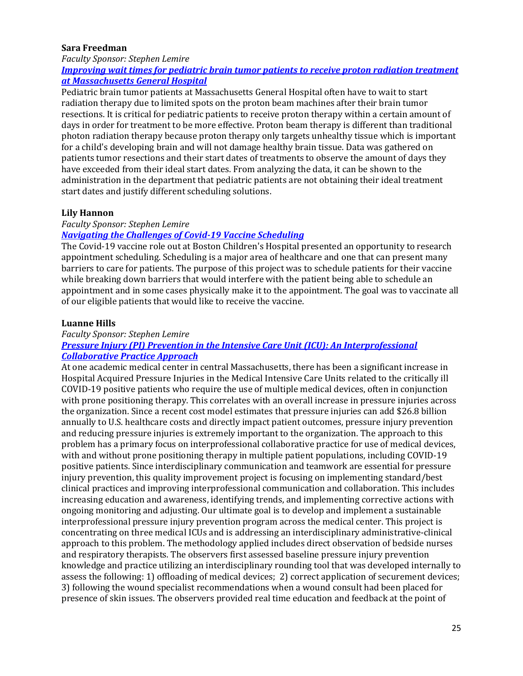### **Sara Freedman**

#### *Faculty Sponsor: Stephen Lemire [Improving wait times for pediatric brain tumor patients to receive proton radiation treatment](https://www.framingham.edu/Assets/uploads/the-fsu-difference/centers-and-institutes/celtss/_documents/freedman_sara.pdf)  [at Massachusetts General Hospital](https://www.framingham.edu/Assets/uploads/the-fsu-difference/centers-and-institutes/celtss/_documents/freedman_sara.pdf)*

Pediatric brain tumor patients at Massachusetts General Hospital often have to wait to start radiation therapy due to limited spots on the proton beam machines after their brain tumor resections. It is critical for pediatric patients to receive proton therapy within a certain amount of days in order for treatment to be more effective. Proton beam therapy is different than traditional photon radiation therapy because proton therapy only targets unhealthy tissue which is important for a child's developing brain and will not damage healthy brain tissue. Data was gathered on patients tumor resections and their start dates of treatments to observe the amount of days they have exceeded from their ideal start dates. From analyzing the data, it can be shown to the administration in the department that pediatric patients are not obtaining their ideal treatment start dates and justify different scheduling solutions.

# <span id="page-24-0"></span>**Lily Hannon**

## *Faculty Sponsor: Stephen Lemire*

# *[Navigating the Challenges of Covid-19 Vaccine Scheduling](https://www.framingham.edu/Assets/uploads/the-fsu-difference/centers-and-institutes/celtss/_documents/hannon_lily.pdf)*

The Covid-19 vaccine role out at Boston Children's Hospital presented an opportunity to research appointment scheduling. Scheduling is a major area of healthcare and one that can present many barriers to care for patients. The purpose of this project was to schedule patients for their vaccine while breaking down barriers that would interfere with the patient being able to schedule an appointment and in some cases physically make it to the appointment. The goal was to vaccinate all of our eligible patients that would like to receive the vaccine.

# <span id="page-24-1"></span>**Luanne Hills**

# *Faculty Sponsor: Stephen Lemire*

# *[Pressure Injury \(PI\) Prevention in the Intensive Care Unit \(ICU\): An Interprofessional](https://www.framingham.edu/Assets/uploads/the-fsu-difference/centers-and-institutes/celtss/_documents/hills_luanne.pdf)  [Collaborative Practice Approach](https://www.framingham.edu/Assets/uploads/the-fsu-difference/centers-and-institutes/celtss/_documents/hills_luanne.pdf)*

At one academic medical center in central Massachusetts, there has been a significant increase in Hospital Acquired Pressure Injuries in the Medical Intensive Care Units related to the critically ill COVID-19 positive patients who require the use of multiple medical devices, often in conjunction with prone positioning therapy. This correlates with an overall increase in pressure injuries across the organization. Since a recent cost model estimates that pressure injuries can add \$26.8 billion annually to U.S. healthcare costs and directly impact patient outcomes, pressure injury prevention and reducing pressure injuries is extremely important to the organization. The approach to this problem has a primary focus on interprofessional collaborative practice for use of medical devices, with and without prone positioning therapy in multiple patient populations, including COVID-19 positive patients. Since interdisciplinary communication and teamwork are essential for pressure injury prevention, this quality improvement project is focusing on implementing standard/best clinical practices and improving interprofessional communication and collaboration. This includes increasing education and awareness, identifying trends, and implementing corrective actions with ongoing monitoring and adjusting. Our ultimate goal is to develop and implement a sustainable interprofessional pressure injury prevention program across the medical center. This project is concentrating on three medical ICUs and is addressing an interdisciplinary administrative-clinical approach to this problem. The methodology applied includes direct observation of bedside nurses and respiratory therapists. The observers first assessed baseline pressure injury prevention knowledge and practice utilizing an interdisciplinary rounding tool that was developed internally to assess the following: 1) offloading of medical devices; 2) correct application of securement devices; 3) following the wound specialist recommendations when a wound consult had been placed for presence of skin issues. The observers provided real time education and feedback at the point of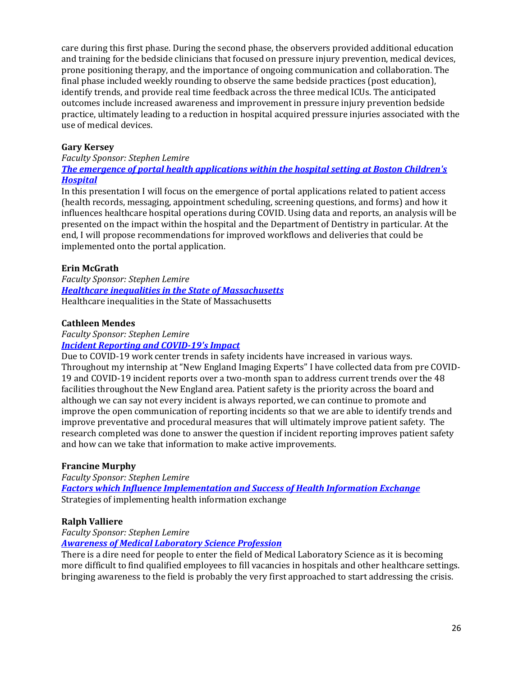care during this first phase. During the second phase, the observers provided additional education and training for the bedside clinicians that focused on pressure injury prevention, medical devices, prone positioning therapy, and the importance of ongoing communication and collaboration. The final phase included weekly rounding to observe the same bedside practices (post education), identify trends, and provide real time feedback across the three medical ICUs. The anticipated outcomes include increased awareness and improvement in pressure injury prevention bedside practice, ultimately leading to a reduction in hospital acquired pressure injuries associated with the use of medical devices.

# <span id="page-25-0"></span>**Gary Kersey**

#### *Faculty Sponsor: Stephen Lemire [The emergence of portal health applications within the hospital setting at Boston Children's](https://www.framingham.edu/Assets/uploads/the-fsu-difference/centers-and-institutes/celtss/_documents/kersey_gary.pdf)  [Hospital](https://www.framingham.edu/Assets/uploads/the-fsu-difference/centers-and-institutes/celtss/_documents/kersey_gary.pdf)*

In this presentation I will focus on the emergence of portal applications related to patient access (health records, messaging, appointment scheduling, screening questions, and forms) and how it influences healthcare hospital operations during COVID. Using data and reports, an analysis will be presented on the impact within the hospital and the Department of Dentistry in particular. At the end, I will propose recommendations for improved workflows and deliveries that could be implemented onto the portal application.

# <span id="page-25-1"></span>**Erin McGrath**

*Faculty Sponsor: Stephen Lemire [Healthcare inequalities in the State of Massachusetts](https://www.framingham.edu/Assets/uploads/the-fsu-difference/centers-and-institutes/celtss/_documents/mcgrath_erin.pdf)* Healthcare inequalities in the State of Massachusetts

## <span id="page-25-2"></span>**Cathleen Mendes**

### *Faculty Sponsor: Stephen Lemire [Incident Reporting and COVID-19's Impact](https://www.framingham.edu/Assets/uploads/the-fsu-difference/centers-and-institutes/celtss/_documents/mendes_cathleen.pdf)*

Due to COVID-19 work center trends in safety incidents have increased in various ways. Throughout my internship at "New England Imaging Experts" I have collected data from pre COVID-19 and COVID-19 incident reports over a two-month span to address current trends over the 48 facilities throughout the New England area. Patient safety is the priority across the board and although we can say not every incident is always reported, we can continue to promote and improve the open communication of reporting incidents so that we are able to identify trends and improve preventative and procedural measures that will ultimately improve patient safety. The research completed was done to answer the question if incident reporting improves patient safety and how can we take that information to make active improvements.

## <span id="page-25-3"></span>**Francine Murphy**

*Faculty Sponsor: Stephen Lemire [Factors which Influence Implementation and Success of Health Information Exchange](https://www.framingham.edu/Assets/uploads/the-fsu-difference/centers-and-institutes/celtss/_documents/murphy_francine.pdf)* Strategies of implementing health information exchange

## <span id="page-25-4"></span>**Ralph Valliere**

# *Faculty Sponsor: Stephen Lemire*

*[Awareness of Medical Laboratory Science Profession](https://www.framingham.edu/Assets/uploads/the-fsu-difference/centers-and-institutes/celtss/_documents/valliere_ralph.pdf)*

There is a dire need for people to enter the field of Medical Laboratory Science as it is becoming more difficult to find qualified employees to fill vacancies in hospitals and other healthcare settings. bringing awareness to the field is probably the very first approached to start addressing the crisis.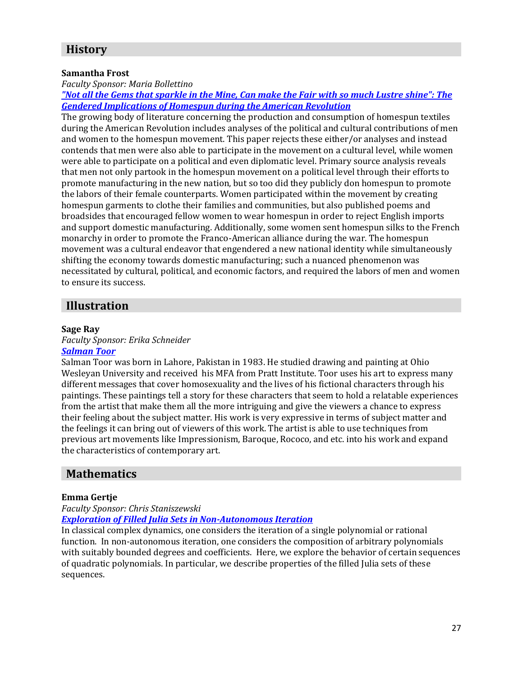# **History**

### <span id="page-26-0"></span>**Samantha Frost**

# *Faculty Sponsor: Maria Bollettino*

*["Not all the Gems that sparkle in the Mine, Can make the Fair with so much Lustre shine": The](https://vimeo.com/535921948/2c7e3e5c5f)  [Gendered Implications of Homespun during the American Revolution](https://vimeo.com/535921948/2c7e3e5c5f)*

The growing body of literature concerning the production and consumption of homespun textiles during the American Revolution includes analyses of the political and cultural contributions of men and women to the homespun movement. This paper rejects these either/or analyses and instead contends that men were also able to participate in the movement on a cultural level, while women were able to participate on a political and even diplomatic level. Primary source analysis reveals that men not only partook in the homespun movement on a political level through their efforts to promote manufacturing in the new nation, but so too did they publicly don homespun to promote the labors of their female counterparts. Women participated within the movement by creating homespun garments to clothe their families and communities, but also published poems and broadsides that encouraged fellow women to wear homespun in order to reject English imports and support domestic manufacturing. Additionally, some women sent homespun silks to the French monarchy in order to promote the Franco-American alliance during the war. The homespun movement was a cultural endeavor that engendered a new national identity while simultaneously shifting the economy towards domestic manufacturing; such a nuanced phenomenon was necessitated by cultural, political, and economic factors, and required the labors of men and women to ensure its success.

# **Illustration**

### <span id="page-26-1"></span>**Sage Ray**

*Faculty Sponsor: Erika Schneider*

# *[Salman Toor](https://www.framingham.edu/Assets/uploads/the-fsu-difference/centers-and-institutes/celtss/_documents/ray_sage2.pdf)*

Salman Toor was born in Lahore, Pakistan in 1983. He studied drawing and painting at Ohio Wesleyan University and received his MFA from Pratt Institute. Toor uses his art to express many different messages that cover homosexuality and the lives of his fictional characters through his paintings. These paintings tell a story for these characters that seem to hold a relatable experiences from the artist that make them all the more intriguing and give the viewers a chance to express their feeling about the subject matter. His work is very expressive in terms of subject matter and the feelings it can bring out of viewers of this work. The artist is able to use techniques from previous art movements like Impressionism, Baroque, Rococo, and etc. into his work and expand the characteristics of contemporary art.

# **Mathematics**

### <span id="page-26-2"></span>**Emma Gertje**

# *Faculty Sponsor: Chris Staniszewski*

*[Exploration of Filled Julia Sets in Non-Autonomous Iteration](https://youtu.be/y6aSJy3rikk)*

In classical complex dynamics, one considers the iteration of a single polynomial or rational function. In non-autonomous iteration, one considers the composition of arbitrary polynomials with suitably bounded degrees and coefficients. Here, we explore the behavior of certain sequences of quadratic polynomials. In particular, we describe properties of the filled Julia sets of these sequences.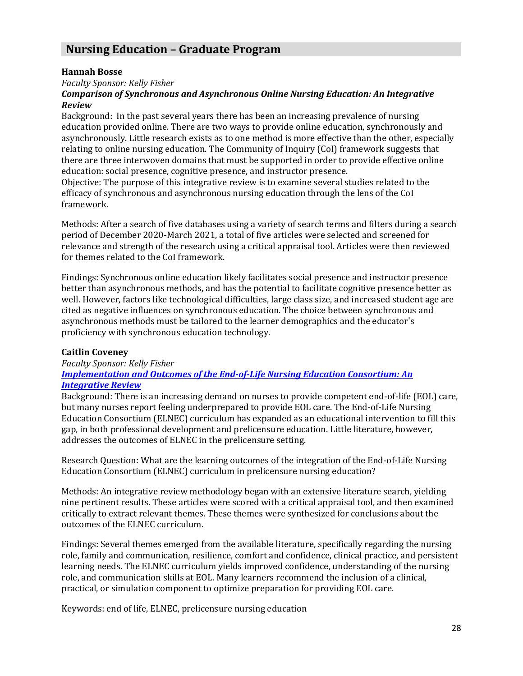# **Nursing Education – Graduate Program**

### <span id="page-27-0"></span>**Hannah Bosse**

*Faculty Sponsor: Kelly Fisher*

### *Comparison of Synchronous and Asynchronous Online Nursing Education: An Integrative Review*

Background: In the past several years there has been an increasing prevalence of nursing education provided online. There are two ways to provide online education, synchronously and asynchronously. Little research exists as to one method is more effective than the other, especially relating to online nursing education. The Community of Inquiry (CoI) framework suggests that there are three interwoven domains that must be supported in order to provide effective online education: social presence, cognitive presence, and instructor presence.

Objective: The purpose of this integrative review is to examine several studies related to the efficacy of synchronous and asynchronous nursing education through the lens of the CoI framework.

Methods: After a search of five databases using a variety of search terms and filters during a search period of December 2020-March 2021, a total of five articles were selected and screened for relevance and strength of the research using a critical appraisal tool. Articles were then reviewed for themes related to the CoI framework.

Findings: Synchronous online education likely facilitates social presence and instructor presence better than asynchronous methods, and has the potential to facilitate cognitive presence better as well. However, factors like technological difficulties, large class size, and increased student age are cited as negative influences on synchronous education. The choice between synchronous and asynchronous methods must be tailored to the learner demographics and the educator's proficiency with synchronous education technology.

## <span id="page-27-1"></span>**Caitlin Coveney**

*Faculty Sponsor: Kelly Fisher [Implementation and Outcomes of the End-of-Life Nursing Education Consortium: An](https://www.framingham.edu/Assets/uploads/the-fsu-difference/centers-and-institutes/celtss/_documents/coveney_caitlin.pdf)  [Integrative Review](https://www.framingham.edu/Assets/uploads/the-fsu-difference/centers-and-institutes/celtss/_documents/coveney_caitlin.pdf)*

Background: There is an increasing demand on nurses to provide competent end-of-life (EOL) care, but many nurses report feeling underprepared to provide EOL care. The End-of-Life Nursing Education Consortium (ELNEC) curriculum has expanded as an educational intervention to fill this gap, in both professional development and prelicensure education. Little literature, however, addresses the outcomes of ELNEC in the prelicensure setting.

Research Question: What are the learning outcomes of the integration of the End-of-Life Nursing Education Consortium (ELNEC) curriculum in prelicensure nursing education?

Methods: An integrative review methodology began with an extensive literature search, yielding nine pertinent results. These articles were scored with a critical appraisal tool, and then examined critically to extract relevant themes. These themes were synthesized for conclusions about the outcomes of the ELNEC curriculum.

Findings: Several themes emerged from the available literature, specifically regarding the nursing role, family and communication, resilience, comfort and confidence, clinical practice, and persistent learning needs. The ELNEC curriculum yields improved confidence, understanding of the nursing role, and communication skills at EOL. Many learners recommend the inclusion of a clinical, practical, or simulation component to optimize preparation for providing EOL care.

Keywords: end of life, ELNEC, prelicensure nursing education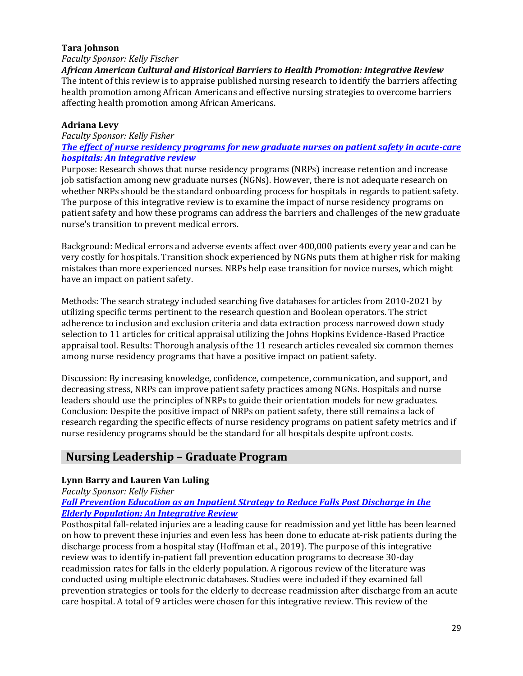### <span id="page-28-0"></span>**Tara Johnson**

### *Faculty Sponsor: Kelly Fischer*

*African American Cultural and Historical Barriers to Health Promotion: Integrative Review* The intent of this review is to appraise published nursing research to identify the barriers affecting health promotion among African Americans and effective nursing strategies to overcome barriers affecting health promotion among African Americans.

# <span id="page-28-1"></span>**Adriana Levy**

*Faculty Sponsor: Kelly Fisher*

*[The effect of nurse residency programs for new graduate nurses on patient safety in acute-care](https://www.framingham.edu/Assets/uploads/the-fsu-difference/centers-and-institutes/celtss/_documents/levy_adriana.pdf)  [hospitals: An integrative review](https://www.framingham.edu/Assets/uploads/the-fsu-difference/centers-and-institutes/celtss/_documents/levy_adriana.pdf)*

Purpose: Research shows that nurse residency programs (NRPs) increase retention and increase job satisfaction among new graduate nurses (NGNs). However, there is not adequate research on whether NRPs should be the standard onboarding process for hospitals in regards to patient safety. The purpose of this integrative review is to examine the impact of nurse residency programs on patient safety and how these programs can address the barriers and challenges of the new graduate nurse's transition to prevent medical errors.

Background: Medical errors and adverse events affect over 400,000 patients every year and can be very costly for hospitals. Transition shock experienced by NGNs puts them at higher risk for making mistakes than more experienced nurses. NRPs help ease transition for novice nurses, which might have an impact on patient safety.

Methods: The search strategy included searching five databases for articles from 2010-2021 by utilizing specific terms pertinent to the research question and Boolean operators. The strict adherence to inclusion and exclusion criteria and data extraction process narrowed down study selection to 11 articles for critical appraisal utilizing the Johns Hopkins Evidence-Based Practice appraisal tool. Results: Thorough analysis of the 11 research articles revealed six common themes among nurse residency programs that have a positive impact on patient safety.

Discussion: By increasing knowledge, confidence, competence, communication, and support, and decreasing stress, NRPs can improve patient safety practices among NGNs. Hospitals and nurse leaders should use the principles of NRPs to guide their orientation models for new graduates. Conclusion: Despite the positive impact of NRPs on patient safety, there still remains a lack of research regarding the specific effects of nurse residency programs on patient safety metrics and if nurse residency programs should be the standard for all hospitals despite upfront costs.

# **Nursing Leadership – Graduate Program**

# <span id="page-28-2"></span>**Lynn Barry and Lauren Van Luling**

*Faculty Sponsor: Kelly Fisher*

### *[Fall Prevention Education as an Inpatient Strategy to Reduce Falls Post Discharge in the](https://www.framingham.edu/Assets/uploads/the-fsu-difference/centers-and-institutes/celtss/_documents/vanluling_lauren.pdf)  [Elderly Population: An Integrative Review](https://www.framingham.edu/Assets/uploads/the-fsu-difference/centers-and-institutes/celtss/_documents/vanluling_lauren.pdf)*

Posthospital fall-related injuries are a leading cause for readmission and yet little has been learned on how to prevent these injuries and even less has been done to educate at-risk patients during the discharge process from a hospital stay (Hoffman et al., 2019). The purpose of this integrative review was to identify in-patient fall prevention education programs to decrease 30-day readmission rates for falls in the elderly population. A rigorous review of the literature was conducted using multiple electronic databases. Studies were included if they examined fall prevention strategies or tools for the elderly to decrease readmission after discharge from an acute care hospital. A total of 9 articles were chosen for this integrative review. This review of the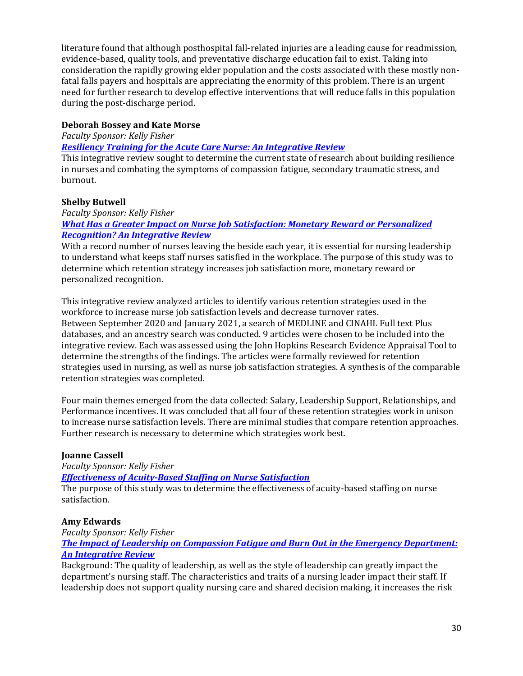literature found that although posthospital fall-related injuries are a leading cause for readmission, evidence-based, quality tools, and preventative discharge education fail to exist. Taking into consideration the rapidly growing elder population and the costs associated with these mostly nonfatal falls payers and hospitals are appreciating the enormity of this problem. There is an urgent need for further research to develop effective interventions that will reduce falls in this population during the post-discharge period.

## <span id="page-29-3"></span>**Deborah Bossey and Kate Morse**

*Faculty Sponsor: Kelly Fisher*

*[Resiliency Training for the Acute Care Nurse: An Integrative Review](https://www.framingham.edu/Assets/uploads/the-fsu-difference/centers-and-institutes/celtss/_documents/bossey_deborah.pdf)*

This integrative review sought to determine the current state of research about building resilience in nurses and combating the symptoms of compassion fatigue, secondary traumatic stress, and burnout.

### <span id="page-29-0"></span>**Shelby Butwell**

*Faculty Sponsor: Kelly Fisher [What Has a Greater Impact on Nurse Job Satisfaction: Monetary Reward or Personalized](https://www.framingham.edu/Assets/uploads/the-fsu-difference/centers-and-institutes/celtss/_documents/butwell_shelby.pdf)  [Recognition? An Integrative Review](https://www.framingham.edu/Assets/uploads/the-fsu-difference/centers-and-institutes/celtss/_documents/butwell_shelby.pdf)*

With a record number of nurses leaving the beside each year, it is essential for nursing leadership to understand what keeps staff nurses satisfied in the workplace. The purpose of this study was to determine which retention strategy increases job satisfaction more, monetary reward or personalized recognition.

This integrative review analyzed articles to identify various retention strategies used in the workforce to increase nurse job satisfaction levels and decrease turnover rates. Between September 2020 and January 2021, a search of MEDLINE and CINAHL Full text Plus databases, and an ancestry search was conducted. 9 articles were chosen to be included into the integrative review. Each was assessed using the John Hopkins Research Evidence Appraisal Tool to determine the strengths of the findings. The articles were formally reviewed for retention strategies used in nursing, as well as nurse job satisfaction strategies. A synthesis of the comparable retention strategies was completed.

Four main themes emerged from the data collected: Salary, Leadership Support, Relationships, and Performance incentives. It was concluded that all four of these retention strategies work in unison to increase nurse satisfaction levels. There are minimal studies that compare retention approaches. Further research is necessary to determine which strategies work best.

## <span id="page-29-1"></span>**Joanne Cassell**

*Faculty Sponsor: Kelly Fisher*

*[Effectiveness of Acuity-Based Staffing on Nurse Satisfaction](https://www.framingham.edu/Assets/uploads/the-fsu-difference/centers-and-institutes/celtss/_documents/cassell_joanne.pdf)*

The purpose of this study was to determine the effectiveness of acuity-based staffing on nurse satisfaction.

### <span id="page-29-2"></span>**Amy Edwards**

*Faculty Sponsor: Kelly Fisher*

*[The Impact of Leadership on Compassion Fatigue and Burn Out in the Emergency Department:](https://www.framingham.edu/Assets/uploads/the-fsu-difference/centers-and-institutes/celtss/_documents/edwards_amy.pdf)  [An Integrative Review](https://www.framingham.edu/Assets/uploads/the-fsu-difference/centers-and-institutes/celtss/_documents/edwards_amy.pdf)*

Background: The quality of leadership, as well as the style of leadership can greatly impact the department's nursing staff. The characteristics and traits of a nursing leader impact their staff. If leadership does not support quality nursing care and shared decision making, it increases the risk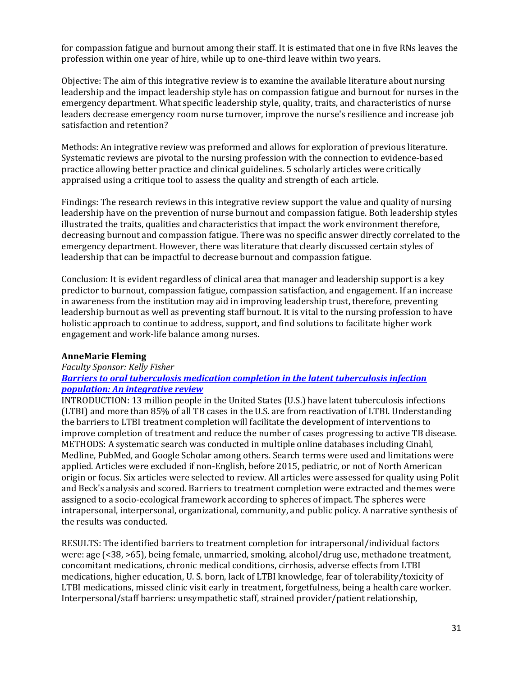for compassion fatigue and burnout among their staff. It is estimated that one in five RNs leaves the profession within one year of hire, while up to one-third leave within two years.

Objective: The aim of this integrative review is to examine the available literature about nursing leadership and the impact leadership style has on compassion fatigue and burnout for nurses in the emergency department. What specific leadership style, quality, traits, and characteristics of nurse leaders decrease emergency room nurse turnover, improve the nurse's resilience and increase job satisfaction and retention?

Methods: An integrative review was preformed and allows for exploration of previous literature. Systematic reviews are pivotal to the nursing profession with the connection to evidence-based practice allowing better practice and clinical guidelines. 5 scholarly articles were critically appraised using a critique tool to assess the quality and strength of each article.

Findings: The research reviews in this integrative review support the value and quality of nursing leadership have on the prevention of nurse burnout and compassion fatigue. Both leadership styles illustrated the traits, qualities and characteristics that impact the work environment therefore, decreasing burnout and compassion fatigue. There was no specific answer directly correlated to the emergency department. However, there was literature that clearly discussed certain styles of leadership that can be impactful to decrease burnout and compassion fatigue.

Conclusion: It is evident regardless of clinical area that manager and leadership support is a key predictor to burnout, compassion fatigue, compassion satisfaction, and engagement. If an increase in awareness from the institution may aid in improving leadership trust, therefore, preventing leadership burnout as well as preventing staff burnout. It is vital to the nursing profession to have holistic approach to continue to address, support, and find solutions to facilitate higher work engagement and work-life balance among nurses.

### <span id="page-30-0"></span>**AnneMarie Fleming**

# *Faculty Sponsor: Kelly Fisher*

### *[Barriers to oral tuberculosis medication completion in the latent tuberculosis infection](https://www.framingham.edu/Assets/uploads/the-fsu-difference/centers-and-institutes/celtss/_documents/fleming_annemarie.pdf)  [population: An integrative review](https://www.framingham.edu/Assets/uploads/the-fsu-difference/centers-and-institutes/celtss/_documents/fleming_annemarie.pdf)*

INTRODUCTION: 13 million people in the United States (U.S.) have latent tuberculosis infections (LTBI) and more than 85% of all TB cases in the U.S. are from reactivation of LTBI. Understanding the barriers to LTBI treatment completion will facilitate the development of interventions to improve completion of treatment and reduce the number of cases progressing to active TB disease. METHODS: A systematic search was conducted in multiple online databases including Cinahl, Medline, PubMed, and Google Scholar among others. Search terms were used and limitations were applied. Articles were excluded if non-English, before 2015, pediatric, or not of North American origin or focus. Six articles were selected to review. All articles were assessed for quality using Polit and Beck's analysis and scored. Barriers to treatment completion were extracted and themes were assigned to a socio-ecological framework according to spheres of impact. The spheres were intrapersonal, interpersonal, organizational, community, and public policy. A narrative synthesis of the results was conducted.

RESULTS: The identified barriers to treatment completion for intrapersonal/individual factors were: age (<38, >65), being female, unmarried, smoking, alcohol/drug use, methadone treatment, concomitant medications, chronic medical conditions, cirrhosis, adverse effects from LTBI medications, higher education, U. S. born, lack of LTBI knowledge, fear of tolerability/toxicity of LTBI medications, missed clinic visit early in treatment, forgetfulness, being a health care worker. Interpersonal/staff barriers: unsympathetic staff, strained provider/patient relationship,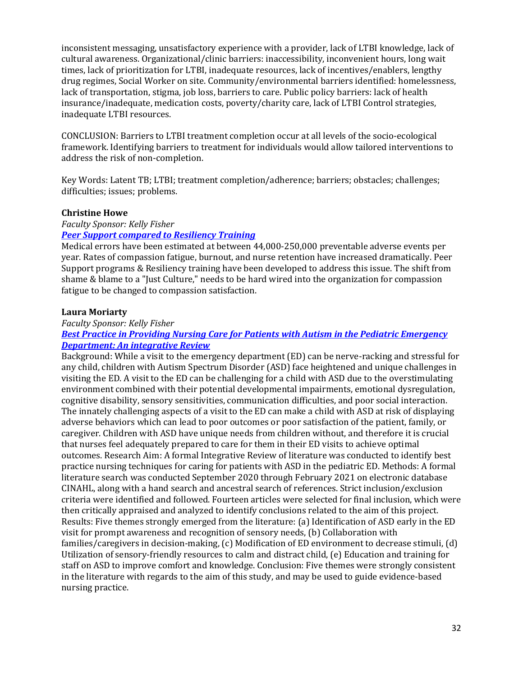inconsistent messaging, unsatisfactory experience with a provider, lack of LTBI knowledge, lack of cultural awareness. Organizational/clinic barriers: inaccessibility, inconvenient hours, long wait times, lack of prioritization for LTBI, inadequate resources, lack of incentives/enablers, lengthy drug regimes, Social Worker on site. Community/environmental barriers identified: homelessness, lack of transportation, stigma, job loss, barriers to care. Public policy barriers: lack of health insurance/inadequate, medication costs, poverty/charity care, lack of LTBI Control strategies, inadequate LTBI resources.

CONCLUSION: Barriers to LTBI treatment completion occur at all levels of the socio-ecological framework. Identifying barriers to treatment for individuals would allow tailored interventions to address the risk of non-completion.

Key Words: Latent TB; LTBI; treatment completion/adherence; barriers; obstacles; challenges; difficulties; issues; problems.

### **Christine Howe**

*Faculty Sponsor: Kelly Fisher*

### *[Peer Support compared to Resiliency Training](https://www.framingham.edu/Assets/uploads/the-fsu-difference/centers-and-institutes/celtss/_documents/howe_christine.pdf)*

Medical errors have been estimated at between 44,000-250,000 preventable adverse events per year. Rates of compassion fatigue, burnout, and nurse retention have increased dramatically. Peer Support programs & Resiliency training have been developed to address this issue. The shift from shame & blame to a "Just Culture," needs to be hard wired into the organization for compassion fatigue to be changed to compassion satisfaction.

### <span id="page-31-0"></span>**Laura Moriarty**

### *Faculty Sponsor: Kelly Fisher*

### *[Best Practice in Providing Nursing Care for Patients with Autism in the Pediatric Emergency](https://www.framingham.edu/Assets/uploads/the-fsu-difference/centers-and-institutes/celtss/_documents/moriarty_laura.pdf)  [Department: An integrative Review](https://www.framingham.edu/Assets/uploads/the-fsu-difference/centers-and-institutes/celtss/_documents/moriarty_laura.pdf)*

Background: While a visit to the emergency department (ED) can be nerve-racking and stressful for any child, children with Autism Spectrum Disorder (ASD) face heightened and unique challenges in visiting the ED. A visit to the ED can be challenging for a child with ASD due to the overstimulating environment combined with their potential developmental impairments, emotional dysregulation, cognitive disability, sensory sensitivities, communication difficulties, and poor social interaction. The innately challenging aspects of a visit to the ED can make a child with ASD at risk of displaying adverse behaviors which can lead to poor outcomes or poor satisfaction of the patient, family, or caregiver. Children with ASD have unique needs from children without, and therefore it is crucial that nurses feel adequately prepared to care for them in their ED visits to achieve optimal outcomes. Research Aim: A formal Integrative Review of literature was conducted to identify best practice nursing techniques for caring for patients with ASD in the pediatric ED. Methods: A formal literature search was conducted September 2020 through February 2021 on electronic database CINAHL, along with a hand search and ancestral search of references. Strict inclusion/exclusion criteria were identified and followed. Fourteen articles were selected for final inclusion, which were then critically appraised and analyzed to identify conclusions related to the aim of this project. Results: Five themes strongly emerged from the literature: (a) Identification of ASD early in the ED visit for prompt awareness and recognition of sensory needs, (b) Collaboration with families/caregivers in decision-making, (c) Modification of ED environment to decrease stimuli, (d) Utilization of sensory-friendly resources to calm and distract child, (e) Education and training for staff on ASD to improve comfort and knowledge. Conclusion: Five themes were strongly consistent in the literature with regards to the aim of this study, and may be used to guide evidence-based nursing practice.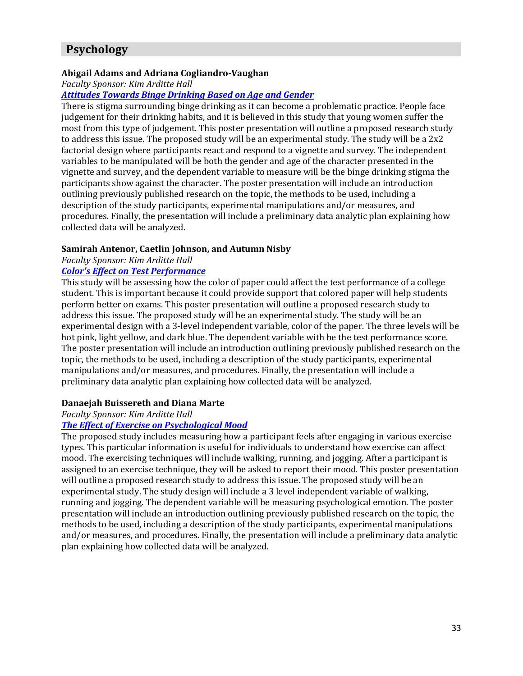# **Psychology**

### <span id="page-32-4"></span><span id="page-32-0"></span>**Abigail Adams and Adriana Cogliandro-Vaughan**

*Faculty Sponsor: Kim Arditte Hall*

### *[Attitudes Towards Binge Drinking Based on Age and Gender](https://www.framingham.edu/Assets/uploads/the-fsu-difference/centers-and-institutes/celtss/_documents/adams_abigail.pdf)*

There is stigma surrounding binge drinking as it can become a problematic practice. People face judgement for their drinking habits, and it is believed in this study that young women suffer the most from this type of judgement. This poster presentation will outline a proposed research study to address this issue. The proposed study will be an experimental study. The study will be a 2x2 factorial design where participants react and respond to a vignette and survey. The independent variables to be manipulated will be both the gender and age of the character presented in the vignette and survey, and the dependent variable to measure will be the binge drinking stigma the participants show against the character. The poster presentation will include an introduction outlining previously published research on the topic, the methods to be used, including a description of the study participants, experimental manipulations and/or measures, and procedures. Finally, the presentation will include a preliminary data analytic plan explaining how collected data will be analyzed.

### <span id="page-32-7"></span><span id="page-32-5"></span><span id="page-32-1"></span>**Samirah Antenor, Caetlin Johnson, and Autumn Nisby**

*Faculty Sponsor: Kim Arditte Hall*

### *[Color's Effect on Test Performance](https://www.framingham.edu/Assets/uploads/the-fsu-difference/centers-and-institutes/celtss/_documents/johnson_caetlin.pdf)*

This study will be assessing how the color of paper could affect the test performance of a college student. This is important because it could provide support that colored paper will help students perform better on exams. This poster presentation will outline a proposed research study to address this issue. The proposed study will be an experimental study. The study will be an experimental design with a 3-level independent variable, color of the paper. The three levels will be hot pink, light yellow, and dark blue. The dependent variable with be the test performance score. The poster presentation will include an introduction outlining previously published research on the topic, the methods to be used, including a description of the study participants, experimental manipulations and/or measures, and procedures. Finally, the presentation will include a preliminary data analytic plan explaining how collected data will be analyzed.

## <span id="page-32-6"></span><span id="page-32-2"></span>**Danaejah Buissereth and Diana Marte**

*Faculty Sponsor: Kim Arditte Hall*

## *[The Effect of Exercise on Psychological Mood](https://www.framingham.edu/Assets/uploads/the-fsu-difference/centers-and-institutes/celtss/_documents/marte_diana.pdf)*

<span id="page-32-3"></span>The proposed study includes measuring how a participant feels after engaging in various exercise types. This particular information is useful for individuals to understand how exercise can affect mood. The exercising techniques will include walking, running, and jogging. After a participant is assigned to an exercise technique, they will be asked to report their mood. This poster presentation will outline a proposed research study to address this issue. The proposed study will be an experimental study. The study design will include a 3 level independent variable of walking, running and jogging. The dependent variable will be measuring psychological emotion. The poster presentation will include an introduction outlining previously published research on the topic, the methods to be used, including a description of the study participants, experimental manipulations and/or measures, and procedures. Finally, the presentation will include a preliminary data analytic plan explaining how collected data will be analyzed.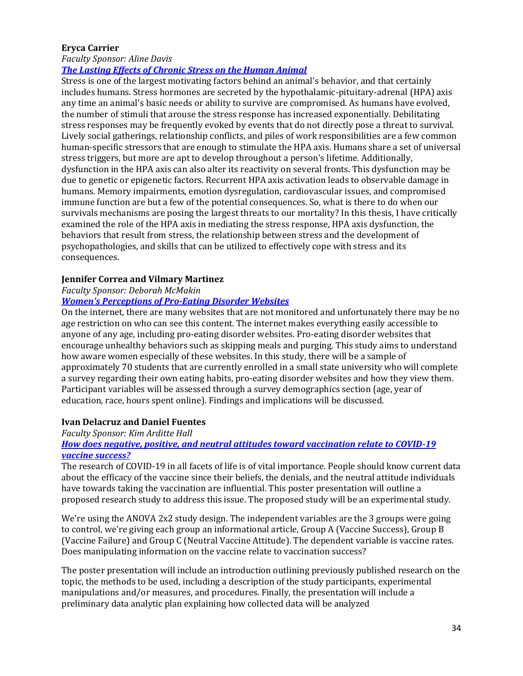## **Eryca Carrier**

*Faculty Sponsor: Aline Davis*

# *[The Lasting Effects of Chronic Stress on the Human Animal](https://framingham.voicethread.com/share/17623984/)*

Stress is one of the largest motivating factors behind an animal's behavior, and that certainly includes humans. Stress hormones are secreted by the hypothalamic-pituitary-adrenal (HPA) axis any time an animal's basic needs or ability to survive are compromised. As humans have evolved, the number of stimuli that arouse the stress response has increased exponentially. Debilitating stress responses may be frequently evoked by events that do not directly pose a threat to survival. Lively social gatherings, relationship conflicts, and piles of work responsibilities are a few common human-specific stressors that are enough to stimulate the HPA axis. Humans share a set of universal stress triggers, but more are apt to develop throughout a person's lifetime. Additionally, dysfunction in the HPA axis can also alter its reactivity on several fronts. This dysfunction may be due to genetic or epigenetic factors. Recurrent HPA axis activation leads to observable damage in humans. Memory impairments, emotion dysregulation, cardiovascular issues, and compromised immune function are but a few of the potential consequences. So, what is there to do when our survivals mechanisms are posing the largest threats to our mortality? In this thesis, I have critically examined the role of the HPA axis in mediating the stress response, HPA axis dysfunction, the behaviors that result from stress, the relationship between stress and the development of psychopathologies, and skills that can be utilized to effectively cope with stress and its consequences.

# <span id="page-33-3"></span><span id="page-33-0"></span>**Jennifer Correa and Vilmary Martinez**

*Faculty Sponsor: Deborah McMakin*

# *[Women's Perceptions of Pro-Eating Disorder Websites](https://drive.google.com/file/d/1ZlCKg8yY_B5n4tB1NIscVRY3WNukBkGQ/view?usp=sharing)*

On the internet, there are many websites that are not monitored and unfortunately there may be no age restriction on who can see this content. The internet makes everything easily accessible to anyone of any age, including pro-eating disorder websites. Pro-eating disorder websites that encourage unhealthy behaviors such as skipping meals and purging. This study aims to understand how aware women especially of these websites. In this study, there will be a sample of approximately 70 students that are currently enrolled in a small state university who will complete a survey regarding their own eating habits, pro-eating disorder websites and how they view them. Participant variables will be assessed through a survey demographics section (age, year of education, race, hours spent online). Findings and implications will be discussed.

## <span id="page-33-2"></span><span id="page-33-1"></span>**Ivan Delacruz and Daniel Fuentes**

*Faculty Sponsor: Kim Arditte Hall*

## *[How does negative, positive, and neutral attitudes toward vaccination relate to COVID-19](https://www.framingham.edu/Assets/uploads/the-fsu-difference/centers-and-institutes/celtss/_documents/fuentes_dan.pdf)  [vaccine success?](https://www.framingham.edu/Assets/uploads/the-fsu-difference/centers-and-institutes/celtss/_documents/fuentes_dan.pdf)*

The research of COVID-19 in all facets of life is of vital importance. People should know current data about the efficacy of the vaccine since their beliefs, the denials, and the neutral attitude individuals have towards taking the vaccination are influential. This poster presentation will outline a proposed research study to address this issue. The proposed study will be an experimental study.

We're using the ANOVA 2x2 study design. The independent variables are the 3 groups were going to control, we're giving each group an informational article, Group A (Vaccine Success), Group B (Vaccine Failure) and Group C (Neutral Vaccine Attitude). The dependent variable is vaccine rates. Does manipulating information on the vaccine relate to vaccination success?

The poster presentation will include an introduction outlining previously published research on the topic, the methods to be used, including a description of the study participants, experimental manipulations and/or measures, and procedures. Finally, the presentation will include a preliminary data analytic plan explaining how collected data will be analyzed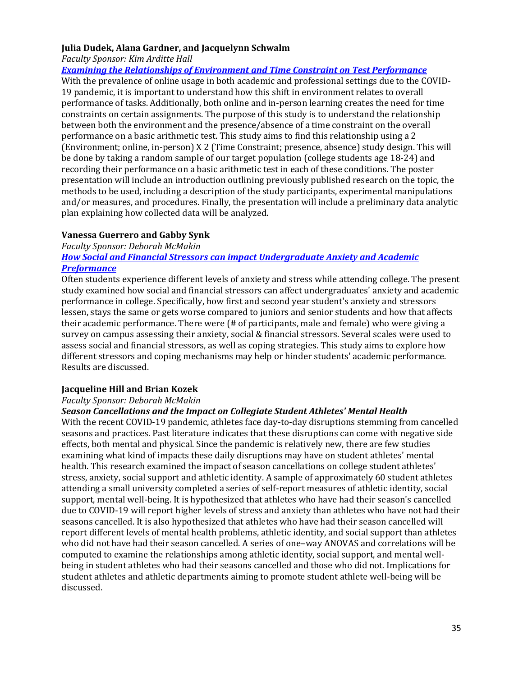### <span id="page-34-5"></span><span id="page-34-1"></span><span id="page-34-0"></span>**Julia Dudek, Alana Gardner, and Jacquelynn Schwalm**

*Faculty Sponsor: Kim Arditte Hall*

*[Examining the Relationships of Environment and Time Constraint on Test Performance](https://www.framingham.edu/Assets/uploads/the-fsu-difference/centers-and-institutes/celtss/_documents/schwalm_jacquelynn.pdf)*

With the prevalence of online usage in both academic and professional settings due to the COVID-19 pandemic, it is important to understand how this shift in environment relates to overall performance of tasks. Additionally, both online and in-person learning creates the need for time constraints on certain assignments. The purpose of this study is to understand the relationship between both the environment and the presence/absence of a time constraint on the overall performance on a basic arithmetic test. This study aims to find this relationship using a 2 (Environment; online, in-person) X 2 (Time Constraint; presence, absence) study design. This will be done by taking a random sample of our target population (college students age 18-24) and recording their performance on a basic arithmetic test in each of these conditions. The poster presentation will include an introduction outlining previously published research on the topic, the methods to be used, including a description of the study participants, experimental manipulations and/or measures, and procedures. Finally, the presentation will include a preliminary data analytic plan explaining how collected data will be analyzed.

# <span id="page-34-6"></span><span id="page-34-2"></span>**Vanessa Guerrero and Gabby Synk**

*Faculty Sponsor: Deborah McMakin*

# *[How Social and Financial Stressors can impact Undergraduate Anxiety and Academic](https://www.framingham.edu/Assets/uploads/the-fsu-difference/centers-and-institutes/celtss/_documents/synk_gabrielle.pptx)  [Preformance](https://www.framingham.edu/Assets/uploads/the-fsu-difference/centers-and-institutes/celtss/_documents/synk_gabrielle.pptx)*

Often students experience different levels of anxiety and stress while attending college. The present study examined how social and financial stressors can affect undergraduates' anxiety and academic performance in college. Specifically, how first and second year student's anxiety and stressors lessen, stays the same or gets worse compared to juniors and senior students and how that affects their academic performance. There were (# of participants, male and female) who were giving a survey on campus assessing their anxiety, social & financial stressors. Several scales were used to assess social and financial stressors, as well as coping strategies. This study aims to explore how different stressors and coping mechanisms may help or hinder students' academic performance. Results are discussed.

# <span id="page-34-4"></span><span id="page-34-3"></span>**Jacqueline Hill and Brian Kozek**

## *Faculty Sponsor: Deborah McMakin*

## *Season Cancellations and the Impact on Collegiate Student Athletes' Mental Health*

With the recent COVID-19 pandemic, athletes face day-to-day disruptions stemming from cancelled seasons and practices. Past literature indicates that these disruptions can come with negative side effects, both mental and physical. Since the pandemic is relatively new, there are few studies examining what kind of impacts these daily disruptions may have on student athletes' mental health. This research examined the impact of season cancellations on college student athletes' stress, anxiety, social support and athletic identity. A sample of approximately 60 student athletes attending a small university completed a series of self-report measures of athletic identity, social support, mental well-being. It is hypothesized that athletes who have had their season's cancelled due to COVID-19 will report higher levels of stress and anxiety than athletes who have not had their seasons cancelled. It is also hypothesized that athletes who have had their season cancelled will report different levels of mental health problems, athletic identity, and social support than athletes who did not have had their season cancelled. A series of one–way ANOVAS and correlations will be computed to examine the relationships among athletic identity, social support, and mental wellbeing in student athletes who had their seasons cancelled and those who did not. Implications for student athletes and athletic departments aiming to promote student athlete well-being will be discussed.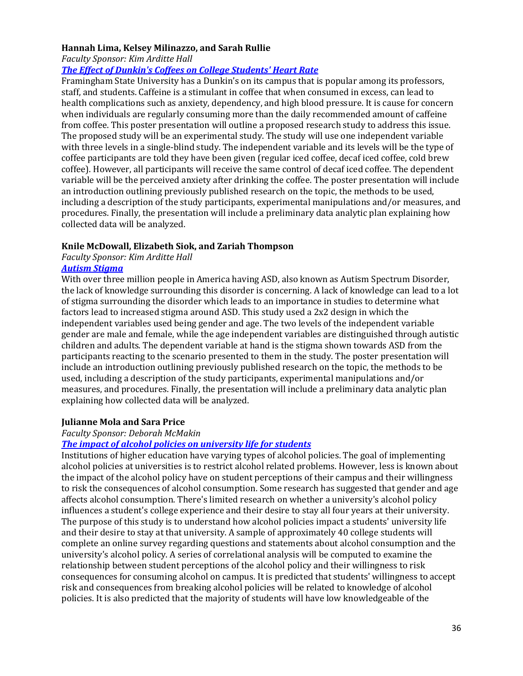### <span id="page-35-5"></span><span id="page-35-2"></span><span id="page-35-0"></span>**Hannah Lima, Kelsey Milinazzo, and Sarah Rullie**

*Faculty Sponsor: Kim Arditte Hall*

### *[The Effect of Dunkin's Coffees on College Students' Heart Rate](https://www.framingham.edu/Assets/uploads/the-fsu-difference/centers-and-institutes/celtss/_documents/lima_hannah.pdf)*

Framingham State University has a Dunkin's on its campus that is popular among its professors, staff, and students. Caffeine is a stimulant in coffee that when consumed in excess, can lead to health complications such as anxiety, dependency, and high blood pressure. It is cause for concern when individuals are regularly consuming more than the daily recommended amount of caffeine from coffee. This poster presentation will outline a proposed research study to address this issue. The proposed study will be an experimental study. The study will use one independent variable with three levels in a single-blind study. The independent variable and its levels will be the type of coffee participants are told they have been given (regular iced coffee, decaf iced coffee, cold brew coffee). However, all participants will receive the same control of decaf iced coffee. The dependent variable will be the perceived anxiety after drinking the coffee. The poster presentation will include an introduction outlining previously published research on the topic, the methods to be used, including a description of the study participants, experimental manipulations and/or measures, and procedures. Finally, the presentation will include a preliminary data analytic plan explaining how collected data will be analyzed.

## <span id="page-35-7"></span><span id="page-35-6"></span><span id="page-35-1"></span>**Knile McDowall, Elizabeth Siok, and Zariah Thompson**

### *Faculty Sponsor: Kim Arditte Hall [Autism Stigma](https://www.framingham.edu/Assets/uploads/the-fsu-difference/centers-and-institutes/celtss/_documents/siok_liz.pdf)*

With over three million people in America having ASD, also known as Autism Spectrum Disorder, the lack of knowledge surrounding this disorder is concerning. A lack of knowledge can lead to a lot of stigma surrounding the disorder which leads to an importance in studies to determine what factors lead to increased stigma around ASD. This study used a 2x2 design in which the independent variables used being gender and age. The two levels of the independent variable gender are male and female, while the age independent variables are distinguished through autistic children and adults. The dependent variable at hand is the stigma shown towards ASD from the participants reacting to the scenario presented to them in the study. The poster presentation will include an introduction outlining previously published research on the topic, the methods to be used, including a description of the study participants, experimental manipulations and/or measures, and procedures. Finally, the presentation will include a preliminary data analytic plan explaining how collected data will be analyzed.

## <span id="page-35-4"></span><span id="page-35-3"></span>**Julianne Mola and Sara Price**

### *Faculty Sponsor: Deborah McMakin*

### *[The impact of alcohol policies on university life for students](https://www.framingham.edu/Assets/uploads/the-fsu-difference/centers-and-institutes/celtss/_documents/price_sara.mp4)*

Institutions of higher education have varying types of alcohol policies. The goal of implementing alcohol policies at universities is to restrict alcohol related problems. However, less is known about the impact of the alcohol policy have on student perceptions of their campus and their willingness to risk the consequences of alcohol consumption. Some research has suggested that gender and age affects alcohol consumption. There's limited research on whether a university's alcohol policy influences a student's college experience and their desire to stay all four years at their university. The purpose of this study is to understand how alcohol policies impact a students' university life and their desire to stay at that university. A sample of approximately 40 college students will complete an online survey regarding questions and statements about alcohol consumption and the university's alcohol policy. A series of correlational analysis will be computed to examine the relationship between student perceptions of the alcohol policy and their willingness to risk consequences for consuming alcohol on campus. It is predicted that students' willingness to accept risk and consequences from breaking alcohol policies will be related to knowledge of alcohol policies. It is also predicted that the majority of students will have low knowledgeable of the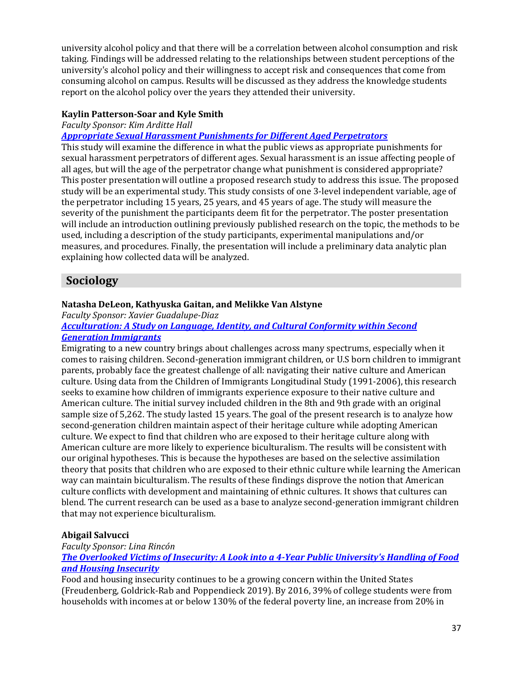university alcohol policy and that there will be a correlation between alcohol consumption and risk taking. Findings will be addressed relating to the relationships between student perceptions of the university's alcohol policy and their willingness to accept risk and consequences that come from consuming alcohol on campus. Results will be discussed as they address the knowledge students report on the alcohol policy over the years they attended their university.

# <span id="page-36-1"></span><span id="page-36-0"></span>**Kaylin Patterson-Soar and Kyle Smith**

### *Faculty Sponsor: Kim Arditte Hall*

### *[Appropriate Sexual Harassment Punishments for Different Aged Perpetrators](https://www.framingham.edu/Assets/uploads/the-fsu-difference/centers-and-institutes/celtss/_documents/patterson-soar_kaylin.pdf)*

This study will examine the difference in what the public views as appropriate punishments for sexual harassment perpetrators of different ages. Sexual harassment is an issue affecting people of all ages, but will the age of the perpetrator change what punishment is considered appropriate? This poster presentation will outline a proposed research study to address this issue. The proposed study will be an experimental study. This study consists of one 3-level independent variable, age of the perpetrator including 15 years, 25 years, and 45 years of age. The study will measure the severity of the punishment the participants deem fit for the perpetrator. The poster presentation will include an introduction outlining previously published research on the topic, the methods to be used, including a description of the study participants, experimental manipulations and/or measures, and procedures. Finally, the presentation will include a preliminary data analytic plan explaining how collected data will be analyzed.

# <span id="page-36-5"></span>**Sociology**

## <span id="page-36-3"></span><span id="page-36-2"></span>**Natasha DeLeon, Kathyuska Gaitan, and Melikke Van Alstyne**

*Faculty Sponsor: Xavier Guadalupe-Diaz [Acculturation: A Study on Language, Identity, and Cultural Conformity within Second](https://www.framingham.edu/Assets/uploads/the-fsu-difference/centers-and-institutes/celtss/_documents/deleon_natasha.mp4)* 

# *[Generation Immigrants](https://www.framingham.edu/Assets/uploads/the-fsu-difference/centers-and-institutes/celtss/_documents/deleon_natasha.mp4)*

Emigrating to a new country brings about challenges across many spectrums, especially when it comes to raising children. Second-generation immigrant children, or U.S born children to immigrant parents, probably face the greatest challenge of all: navigating their native culture and American culture. Using data from the Children of Immigrants Longitudinal Study (1991-2006), this research seeks to examine how children of immigrants experience exposure to their native culture and American culture. The initial survey included children in the 8th and 9th grade with an original sample size of 5,262. The study lasted 15 years. The goal of the present research is to analyze how second-generation children maintain aspect of their heritage culture while adopting American culture. We expect to find that children who are exposed to their heritage culture along with American culture are more likely to experience biculturalism. The results will be consistent with our original hypotheses. This is because the hypotheses are based on the selective assimilation theory that posits that children who are exposed to their ethnic culture while learning the American way can maintain biculturalism. The results of these findings disprove the notion that American culture conflicts with development and maintaining of ethnic cultures. It shows that cultures can blend. The current research can be used as a base to analyze second-generation immigrant children that may not experience biculturalism.

## <span id="page-36-4"></span>**Abigail Salvucci**

*Faculty Sponsor: Lina Rincón*

*[The Overlooked Victims of Insecurity: A Look into a 4-Year Public University's Handling of Food](https://youtu.be/kKgzwQV4B-4)  [and Housing Insecurity](https://youtu.be/kKgzwQV4B-4)*

Food and housing insecurity continues to be a growing concern within the United States (Freudenberg, Goldrick-Rab and Poppendieck 2019). By 2016, 39% of college students were from households with incomes at or below 130% of the federal poverty line, an increase from 20% in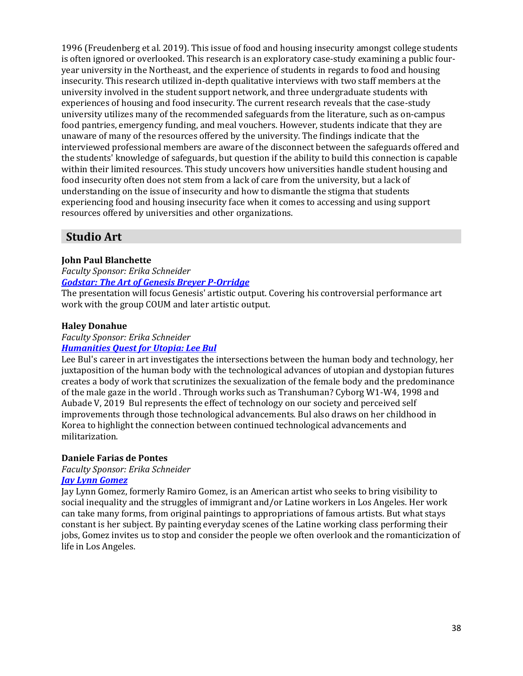1996 (Freudenberg et al. 2019). This issue of food and housing insecurity amongst college students is often ignored or overlooked. This research is an exploratory case-study examining a public fouryear university in the Northeast, and the experience of students in regards to food and housing insecurity. This research utilized in-depth qualitative interviews with two staff members at the university involved in the student support network, and three undergraduate students with experiences of housing and food insecurity. The current research reveals that the case-study university utilizes many of the recommended safeguards from the literature, such as on-campus food pantries, emergency funding, and meal vouchers. However, students indicate that they are unaware of many of the resources offered by the university. The findings indicate that the interviewed professional members are aware of the disconnect between the safeguards offered and the students' knowledge of safeguards, but question if the ability to build this connection is capable within their limited resources. This study uncovers how universities handle student housing and food insecurity often does not stem from a lack of care from the university, but a lack of understanding on the issue of insecurity and how to dismantle the stigma that students experiencing food and housing insecurity face when it comes to accessing and using support resources offered by universities and other organizations.

# **Studio Art**

# <span id="page-37-0"></span>**John Paul Blanchette**

#### *Faculty Sponsor: Erika Schneider [Godstar: The Art of Genesis Breyer P-Orridge](https://www.framingham.edu/Assets/uploads/the-fsu-difference/centers-and-institutes/celtss/_documents/blanchette_john.pdf)*

The presentation will focus Genesis' artistic output. Covering his controversial performance art work with the group COUM and later artistic output.

## <span id="page-37-1"></span>**Haley Donahue**

*Faculty Sponsor: Erika Schneider*

## *[Humanities Quest for Utopia: Lee Bul](https://www.framingham.edu/Assets/uploads/the-fsu-difference/centers-and-institutes/celtss/_documents/donahue_haley.pdf)*

Lee Bul's career in art investigates the intersections between the human body and technology, her juxtaposition of the human body with the technological advances of utopian and dystopian futures creates a body of work that scrutinizes the sexualization of the female body and the predominance of the male gaze in the world . Through works such as Transhuman? Cyborg W1-W4, 1998 and Aubade V, 2019 Bul represents the effect of technology on our society and perceived self improvements through those technological advancements. Bul also draws on her childhood in Korea to highlight the connection between continued technological advancements and militarization.

## <span id="page-37-2"></span>**Daniele Farias de Pontes**

# *Faculty Sponsor: Erika Schneider*

## *[Jay Lynn Gomez](https://www.framingham.edu/Assets/uploads/the-fsu-difference/centers-and-institutes/celtss/_documents/fariasdepontes_daniele.pdf)*

<span id="page-37-3"></span>Jay Lynn Gomez, formerly Ramiro Gomez, is an American artist who seeks to bring visibility to social inequality and the struggles of immigrant and/or Latine workers in Los Angeles. Her work can take many forms, from original paintings to appropriations of famous artists. But what stays constant is her subject. By painting everyday scenes of the Latine working class performing their jobs, Gomez invites us to stop and consider the people we often overlook and the romanticization of life in Los Angeles.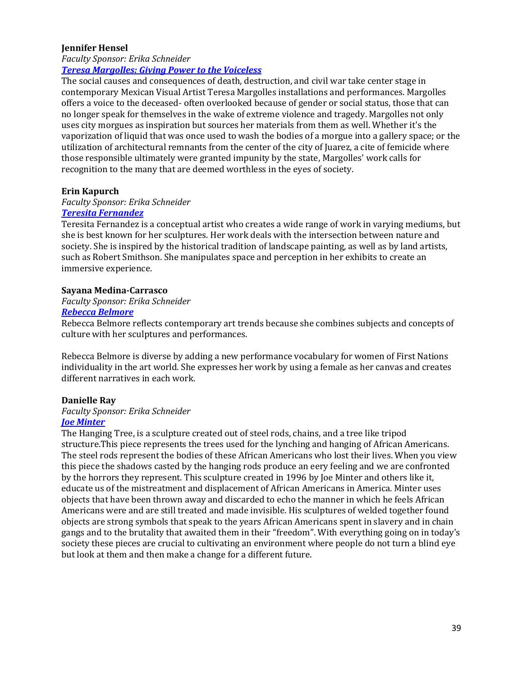### **Jennifer Hensel**

### *Faculty Sponsor: Erika Schneider [Teresa Margolles: Giving Power to the Voiceless](https://www.framingham.edu/Assets/uploads/the-fsu-difference/centers-and-institutes/celtss/_documents/hensel_jennifer.pdf)*

The social causes and consequences of death, destruction, and civil war take center stage in contemporary Mexican Visual Artist Teresa Margolles installations and performances. Margolles offers a voice to the deceased- often overlooked because of gender or social status, those that can no longer speak for themselves in the wake of extreme violence and tragedy. Margolles not only uses city morgues as inspiration but sources her materials from them as well. Whether it's the vaporization of liquid that was once used to wash the bodies of a morgue into a gallery space; or the utilization of architectural remnants from the center of the city of Juarez, a cite of femicide where those responsible ultimately were granted impunity by the state, Margolles' work calls for recognition to the many that are deemed worthless in the eyes of society.

### <span id="page-38-0"></span>**Erin Kapurch**

# *Faculty Sponsor: Erika Schneider*

# *[Teresita Fernandez](https://www.framingham.edu/Assets/uploads/the-fsu-difference/centers-and-institutes/celtss/_documents/kapurch_erin.pdf)*

Teresita Fernandez is a conceptual artist who creates a wide range of work in varying mediums, but she is best known for her sculptures. Her work deals with the intersection between nature and society. She is inspired by the historical tradition of landscape painting, as well as by land artists, such as Robert Smithson. She manipulates space and perception in her exhibits to create an immersive experience.

### <span id="page-38-1"></span>**Sayana Medina-Carrasco**

### *Faculty Sponsor: Erika Schneider*

# *[Rebecca Belmore](https://www.framingham.edu/Assets/uploads/the-fsu-difference/centers-and-institutes/celtss/_documents/medina-carrasco_sayana.pdf)*

Rebecca Belmore reflects contemporary art trends because she combines subjects and concepts of culture with her sculptures and performances.

Rebecca Belmore is diverse by adding a new performance vocabulary for women of First Nations individuality in the art world. She expresses her work by using a female as her canvas and creates different narratives in each work.

### <span id="page-38-2"></span>**Danielle Ray**

### *Faculty Sponsor: Erika Schneider*

### *[Joe Minter](https://www.framingham.edu/Assets/uploads/the-fsu-difference/centers-and-institutes/celtss/_documents/ray_danielle2.pdf)*

<span id="page-38-3"></span>The Hanging Tree, is a sculpture created out of steel rods, chains, and a tree like tripod structure.This piece represents the trees used for the lynching and hanging of African Americans. The steel rods represent the bodies of these African Americans who lost their lives. When you view this piece the shadows casted by the hanging rods produce an eery feeling and we are confronted by the horrors they represent. This sculpture created in 1996 by Joe Minter and others like it, educate us of the mistreatment and displacement of African Americans in America. Minter uses objects that have been thrown away and discarded to echo the manner in which he feels African Americans were and are still treated and made invisible. His sculptures of welded together found objects are strong symbols that speak to the years African Americans spent in slavery and in chain gangs and to the brutality that awaited them in their "freedom". With everything going on in today's society these pieces are crucial to cultivating an environment where people do not turn a blind eye but look at them and then make a change for a different future.